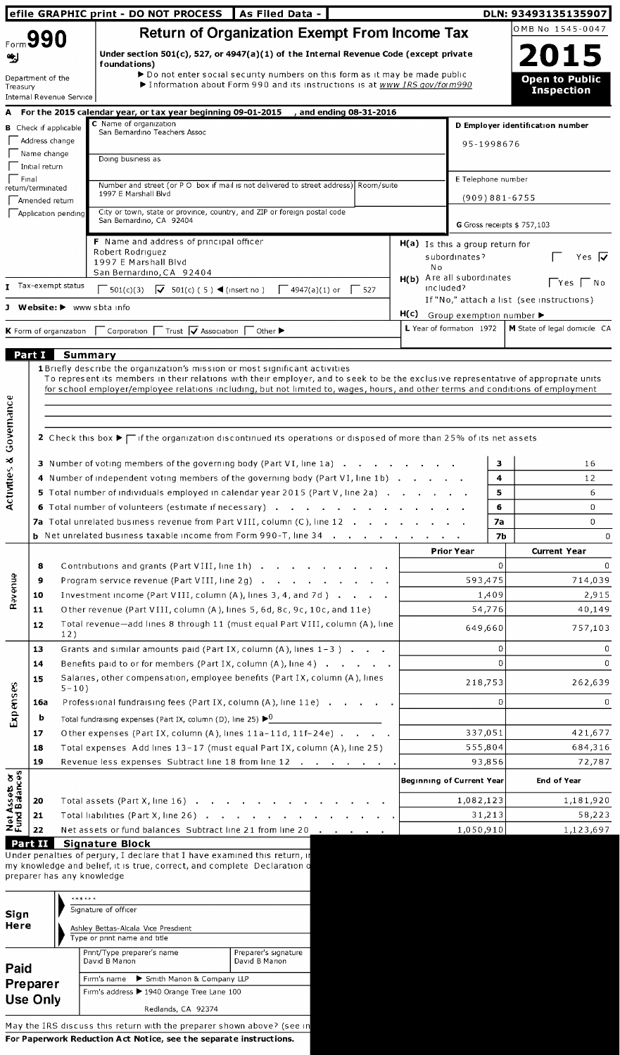|                                |                                     |                            | efile GRAPHIC print - DO NOT PROCESS   As Filed Data -                                                                                                                                                                                                                                                                                                          |                                                                                                                                                           |                       |                                                     |                    |             | DLN: 93493135135907                        |                    |
|--------------------------------|-------------------------------------|----------------------------|-----------------------------------------------------------------------------------------------------------------------------------------------------------------------------------------------------------------------------------------------------------------------------------------------------------------------------------------------------------------|-----------------------------------------------------------------------------------------------------------------------------------------------------------|-----------------------|-----------------------------------------------------|--------------------|-------------|--------------------------------------------|--------------------|
|                                | Form 990                            |                            |                                                                                                                                                                                                                                                                                                                                                                 | <b>Return of Organization Exempt From Income Tax</b>                                                                                                      |                       |                                                     |                    |             | OMB No 1545-0047                           |                    |
|                                |                                     |                            | Under section 501(c), 527, or 4947(a)(1) of the Internal Revenue Code (except private<br>foundations)                                                                                                                                                                                                                                                           |                                                                                                                                                           |                       |                                                     |                    |             | 2015                                       |                    |
| Treasury                       | Department of the                   | Internal Revenue Service   |                                                                                                                                                                                                                                                                                                                                                                 | ▶ Do not enter social security numbers on this form as it may be made public<br>Information about Form 990 and its instructions is at www IRS gov/form990 |                       |                                                     |                    |             | <b>Open to Public</b><br><b>Inspection</b> |                    |
|                                |                                     |                            | A For the 2015 calendar year, or tax year beginning 09-01-2015                                                                                                                                                                                                                                                                                                  |                                                                                                                                                           | and ending 08-31-2016 |                                                     |                    |             |                                            |                    |
|                                | <b>B</b> Check if applicable        |                            | C Name of organization<br>San Bernardino Teachers Assoc                                                                                                                                                                                                                                                                                                         |                                                                                                                                                           |                       |                                                     |                    |             | D Employer identification number           |                    |
|                                | Address change                      |                            |                                                                                                                                                                                                                                                                                                                                                                 |                                                                                                                                                           |                       |                                                     | 95-1998676         |             |                                            |                    |
|                                | Mame change<br>Initial return       |                            | Doing business as                                                                                                                                                                                                                                                                                                                                               |                                                                                                                                                           |                       |                                                     |                    |             |                                            |                    |
| Final                          |                                     |                            | Number and street (or P O box if mail is not delivered to street address) Room/suite                                                                                                                                                                                                                                                                            |                                                                                                                                                           |                       |                                                     | E Telephone number |             |                                            |                    |
|                                | return/terminated<br>Amended return |                            | 1997 E Marshall Blvd                                                                                                                                                                                                                                                                                                                                            |                                                                                                                                                           |                       |                                                     |                    |             | $(909)881 - 6755$                          |                    |
|                                | Application pending                 |                            | City or town, state or province, country, and ZIP or foreign postal code<br>San Bernardino, CA 92404                                                                                                                                                                                                                                                            |                                                                                                                                                           |                       |                                                     |                    |             | G Gross receipts \$ 757,103                |                    |
|                                |                                     |                            | <b>F</b> Name and address of principal officer                                                                                                                                                                                                                                                                                                                  |                                                                                                                                                           |                       | $H(a)$ Is this a group return for                   |                    |             |                                            |                    |
|                                |                                     |                            | Robert Rodriguez<br>1997 E Marshall Blvd<br>San Bernardino, CA 92404                                                                                                                                                                                                                                                                                            |                                                                                                                                                           |                       | N o<br>H(b) Are all subordinates                    | subordinates?      |             |                                            | Yes $\overline{V}$ |
|                                | T Tax-exempt status                 |                            | $\begin{bmatrix} 501(c)(3) & \nabla & 501(c) (5) & \nabla \end{bmatrix}$ (insert no)                                                                                                                                                                                                                                                                            | $\sqrt{4947(a)(1)}$ or                                                                                                                                    | $\frac{1}{527}$       |                                                     | included?          |             | If "No," attach a list (see instructions)  | Yes   No           |
|                                |                                     |                            | J Website: > www sbta info                                                                                                                                                                                                                                                                                                                                      |                                                                                                                                                           |                       | $H(c)$ Group exemption number $\blacktriangleright$ |                    |             |                                            |                    |
|                                | <b>K</b> Form of organization       |                            | $\Box$ Corporation $\Box$ Trust $\Box$ Association $\Box$                                                                                                                                                                                                                                                                                                       | Other $\blacktriangleright$                                                                                                                               |                       | L Year of formation 1972                            |                    |             | M State of legal domicile CA               |                    |
|                                | Part I                              | Summary                    |                                                                                                                                                                                                                                                                                                                                                                 |                                                                                                                                                           |                       |                                                     |                    |             |                                            |                    |
|                                |                                     |                            | <b>1</b> Briefly describe the organization's mission or most significant activities<br>To represent its members in their relations with their employer, and to seek to be the exclusive representative of appropriate units<br>for school employer/employee relations including, but not limited to, wages, hours, and other terms and conditions of employment |                                                                                                                                                           |                       |                                                     |                    |             |                                            |                    |
| Governance                     |                                     |                            |                                                                                                                                                                                                                                                                                                                                                                 |                                                                                                                                                           |                       |                                                     |                    |             |                                            |                    |
|                                |                                     |                            | 2 Check this box ▶ ┌ if the organization discontinued its operations or disposed of more than 25% of its net assets                                                                                                                                                                                                                                             |                                                                                                                                                           |                       |                                                     |                    |             |                                            |                    |
|                                |                                     |                            |                                                                                                                                                                                                                                                                                                                                                                 |                                                                                                                                                           |                       |                                                     |                    |             |                                            |                    |
| Activities &                   |                                     |                            | 3 Number of voting members of the governing body (Part VI, line 1a)                                                                                                                                                                                                                                                                                             |                                                                                                                                                           |                       |                                                     |                    | 3           |                                            | 16                 |
|                                |                                     |                            | 4 Number of independent voting members of the governing body (Part VI, line 1b)                                                                                                                                                                                                                                                                                 |                                                                                                                                                           |                       |                                                     |                    | 4           |                                            | 12                 |
|                                |                                     |                            | 5 Total number of individuals employed in calendar year 2015 (Part V, line 2a).<br><b>6</b> Total number of volunteers (estimate if necessary)                                                                                                                                                                                                                  |                                                                                                                                                           |                       |                                                     |                    | 5<br>6      |                                            | 6<br>0             |
|                                |                                     |                            | 7a Total unrelated business revenue from Part VIII, column (C), line 12                                                                                                                                                                                                                                                                                         |                                                                                                                                                           |                       |                                                     |                    | 7a          |                                            | 0                  |
|                                |                                     |                            | <b>b</b> Net unrelated business taxable income from Form 990-T, line 34                                                                                                                                                                                                                                                                                         |                                                                                                                                                           |                       |                                                     |                    | 7Ь          |                                            | 0                  |
|                                |                                     |                            |                                                                                                                                                                                                                                                                                                                                                                 |                                                                                                                                                           |                       |                                                     | <b>Prior Year</b>  |             | <b>Current Year</b>                        |                    |
|                                | 8                                   |                            | Contributions and grants (Part VIII, line 1h)                                                                                                                                                                                                                                                                                                                   |                                                                                                                                                           |                       |                                                     |                    | $\mathbf 0$ |                                            | 0                  |
| <b>Ravenue</b>                 | 9                                   |                            | Program service revenue (Part VIII, line 2g)                                                                                                                                                                                                                                                                                                                    |                                                                                                                                                           |                       |                                                     | 593,475            |             |                                            | 714,039            |
|                                | 10                                  |                            | Investment income (Part VIII, column (A), lines 3, 4, and 7d)                                                                                                                                                                                                                                                                                                   |                                                                                                                                                           |                       |                                                     |                    | 1,409       |                                            | 2,915              |
|                                | 11                                  |                            | Other revenue (Part VIII, column (A), lines 5, 6d, 8c, 9c, 10c, and 11e)                                                                                                                                                                                                                                                                                        |                                                                                                                                                           |                       |                                                     |                    | 54,776      |                                            | 40,149             |
|                                | 12                                  | 12)                        | Total revenue-add lines 8 through 11 (must equal Part VIII, column (A), line                                                                                                                                                                                                                                                                                    |                                                                                                                                                           |                       |                                                     | 649,660            |             |                                            | 757,103            |
|                                | 13                                  |                            | Grants and similar amounts paid (Part IX, column $(A)$ , lines $1-3$ ).                                                                                                                                                                                                                                                                                         |                                                                                                                                                           |                       |                                                     |                    | 0           |                                            | 0                  |
|                                | 14                                  |                            | Benefits paid to or for members (Part IX, column (A), line 4)                                                                                                                                                                                                                                                                                                   |                                                                                                                                                           |                       |                                                     |                    | 0           |                                            | 0                  |
|                                | 15                                  | $5 - 10$ )                 | Salaries, other compensation, employee benefits (Part IX, column (A), lines                                                                                                                                                                                                                                                                                     |                                                                                                                                                           |                       |                                                     | 218,753            |             | 262,639                                    |                    |
| Expenses                       | 16a                                 |                            | Professional fundraising fees (Part IX, column (A), line 11e)                                                                                                                                                                                                                                                                                                   |                                                                                                                                                           |                       |                                                     |                    | 0           |                                            | 0                  |
|                                | b                                   |                            | Total fundraising expenses (Part IX, column (D), line 25) $\triangleright^0$                                                                                                                                                                                                                                                                                    |                                                                                                                                                           |                       |                                                     |                    |             |                                            |                    |
|                                | 17                                  |                            | Other expenses (Part IX, column (A), lines 11a-11d, 11f-24e)                                                                                                                                                                                                                                                                                                    |                                                                                                                                                           |                       |                                                     | 337,051            |             |                                            | 421,677            |
|                                | 18                                  |                            | Total expenses Add lines 13-17 (must equal Part IX, column (A), line 25)                                                                                                                                                                                                                                                                                        |                                                                                                                                                           |                       |                                                     | 555,804            |             |                                            | 684,316            |
|                                | 19                                  |                            | Revenue less expenses Subtract line 18 from line 12                                                                                                                                                                                                                                                                                                             |                                                                                                                                                           |                       |                                                     |                    | 93,856      |                                            | 72,787             |
| Net Assets or<br>Fund Balances |                                     |                            |                                                                                                                                                                                                                                                                                                                                                                 |                                                                                                                                                           |                       | <b>Beginning of Current Year</b>                    |                    |             | End of Year                                |                    |
|                                | 20                                  |                            | Total assets (Part X, line 16)                                                                                                                                                                                                                                                                                                                                  |                                                                                                                                                           |                       |                                                     | 1,082,123          |             |                                            | 1,181,920          |
|                                | 21                                  |                            | Total liabilities (Part X, line 26)                                                                                                                                                                                                                                                                                                                             |                                                                                                                                                           |                       |                                                     |                    | 31,213      |                                            | 58,223             |
|                                | 22                                  |                            | Net assets or fund balances Subtract line 21 from line 20                                                                                                                                                                                                                                                                                                       |                                                                                                                                                           |                       |                                                     | 1,050,910          |             |                                            | 1,123,697          |
| Part II                        |                                     |                            | <b>Signature Block</b><br>Under penalties of perjury, I declare that I have examined this return, in                                                                                                                                                                                                                                                            |                                                                                                                                                           |                       |                                                     |                    |             |                                            |                    |
|                                |                                     | preparer has any knowledge | my knowledge and belief, it is true, correct, and complete Declaration of                                                                                                                                                                                                                                                                                       |                                                                                                                                                           |                       |                                                     |                    |             |                                            |                    |
|                                |                                     | ******                     |                                                                                                                                                                                                                                                                                                                                                                 |                                                                                                                                                           |                       |                                                     |                    |             |                                            |                    |
| Sian                           |                                     |                            | Signature of officer                                                                                                                                                                                                                                                                                                                                            |                                                                                                                                                           |                       |                                                     |                    |             |                                            |                    |

| Signature of officer<br>Sign<br>Here<br>Ashley Bettas-Alcala Vice Presdient<br>Type or print name and title |  |                                              |                                        |  |  |  |  |  |
|-------------------------------------------------------------------------------------------------------------|--|----------------------------------------------|----------------------------------------|--|--|--|--|--|
| Paid                                                                                                        |  | Print/Type preparer's name<br>David B Marion | Preparer's signature<br>David B Marion |  |  |  |  |  |
| Preparer                                                                                                    |  | Firm's name > Smith Marion & Company LLP     |                                        |  |  |  |  |  |
| <b>Use Only</b>                                                                                             |  | Firm's address > 1940 Orange Tree Lane 100   |                                        |  |  |  |  |  |
|                                                                                                             |  | Redlands, CA 92374                           |                                        |  |  |  |  |  |

May the IRS discuss this return with the preparer shown above? (see in For Paperwork Reduction Act Notice, see the separate instructions.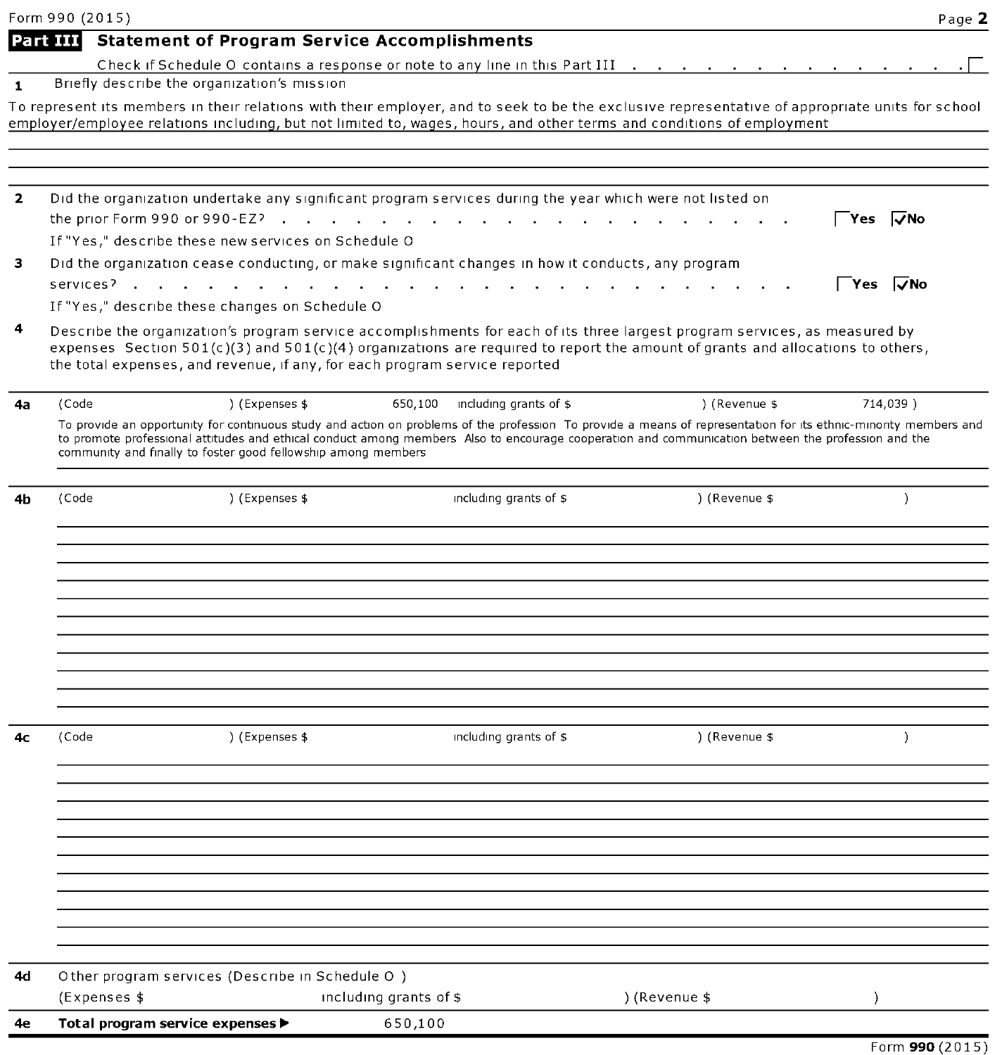|              | Form 990 (2015)                                                            |                |                                                                                                          |                                                                                                                                                                  | Page 2               |
|--------------|----------------------------------------------------------------------------|----------------|----------------------------------------------------------------------------------------------------------|------------------------------------------------------------------------------------------------------------------------------------------------------------------|----------------------|
|              | Part III                                                                   |                | <b>Statement of Program Service Accomplishments</b>                                                      |                                                                                                                                                                  |                      |
|              |                                                                            |                | Check if Schedule O contains a response or note to any line in this Part III                             |                                                                                                                                                                  |                      |
| $\mathbf{1}$ | Briefly describe the organization's mission                                |                |                                                                                                          |                                                                                                                                                                  |                      |
|              |                                                                            |                |                                                                                                          | To represent its members in their relations with their employer, and to seek to be the exclusive representative of appropriate units for school                  |                      |
|              |                                                                            |                |                                                                                                          | employer/employee relations including, but not limited to, wages, hours, and other terms and conditions of employment                                            |                      |
|              |                                                                            |                |                                                                                                          |                                                                                                                                                                  |                      |
| $\mathbf{2}$ |                                                                            |                | Did the organization undertake any significant program services during the year which were not listed on |                                                                                                                                                                  |                      |
|              | the prior Form 990 or 990-EZ? $\cdot$                                      |                |                                                                                                          |                                                                                                                                                                  | l√No<br>Yes          |
|              | If "Yes," describe these new services on Schedule O                        |                |                                                                                                          |                                                                                                                                                                  |                      |
| з            |                                                                            |                | Did the organization cease conducting, or make significant changes in how it conducts, any program       |                                                                                                                                                                  |                      |
|              | services <sup>2</sup>                                                      |                |                                                                                                          |                                                                                                                                                                  | <sup>−</sup> Yes √No |
|              | If "Yes," describe these changes on Schedule O                             |                |                                                                                                          |                                                                                                                                                                  |                      |
| 4            |                                                                            |                |                                                                                                          | Describe the organization's program service accomplishments for each of its three largest program services, as measured by                                       |                      |
|              |                                                                            |                |                                                                                                          | expenses Section $501(c)(3)$ and $501(c)(4)$ organizations are required to report the amount of grants and allocations to others,                                |                      |
|              | the total expenses, and revenue, if any, for each program service reported |                |                                                                                                          |                                                                                                                                                                  |                      |
| 4a           | (Code                                                                      | ) (Expenses \$ | 650,100 including grants of \$                                                                           | ) (Revenue \$                                                                                                                                                    | 714,039)             |
|              |                                                                            |                |                                                                                                          | To provide an opportunity for continuous study and action on problems of the profession To provide a means of representation for its ethnic-minority members and |                      |
|              |                                                                            |                |                                                                                                          | to promote professional attitudes and ethical conduct among members Also to encourage cooperation and communication between the profession and the               |                      |
|              | community and finally to foster good fellowship among members              |                |                                                                                                          |                                                                                                                                                                  |                      |
|              |                                                                            |                |                                                                                                          |                                                                                                                                                                  |                      |
| 4b           | (Code                                                                      | ) (Expenses \$ | including grants of \$                                                                                   | ) (Revenue \$                                                                                                                                                    | $\lambda$            |
|              |                                                                            |                |                                                                                                          |                                                                                                                                                                  |                      |
|              |                                                                            |                |                                                                                                          |                                                                                                                                                                  |                      |
|              |                                                                            |                |                                                                                                          |                                                                                                                                                                  |                      |
|              |                                                                            |                |                                                                                                          |                                                                                                                                                                  |                      |
|              |                                                                            |                |                                                                                                          |                                                                                                                                                                  |                      |
|              |                                                                            |                |                                                                                                          |                                                                                                                                                                  |                      |
|              |                                                                            |                |                                                                                                          |                                                                                                                                                                  |                      |
|              |                                                                            |                |                                                                                                          |                                                                                                                                                                  |                      |
|              |                                                                            |                |                                                                                                          |                                                                                                                                                                  |                      |
| 4с           | (Code                                                                      | ) (Expenses \$ | including grants of \$                                                                                   | ) (Revenue \$                                                                                                                                                    | $\lambda$            |
|              |                                                                            |                |                                                                                                          |                                                                                                                                                                  |                      |
|              |                                                                            |                |                                                                                                          |                                                                                                                                                                  |                      |
|              |                                                                            |                |                                                                                                          |                                                                                                                                                                  |                      |
|              |                                                                            |                |                                                                                                          |                                                                                                                                                                  |                      |
|              |                                                                            |                |                                                                                                          |                                                                                                                                                                  |                      |
|              |                                                                            |                |                                                                                                          |                                                                                                                                                                  |                      |
|              |                                                                            |                |                                                                                                          |                                                                                                                                                                  |                      |
|              |                                                                            |                |                                                                                                          |                                                                                                                                                                  |                      |
|              |                                                                            |                |                                                                                                          |                                                                                                                                                                  |                      |
|              |                                                                            |                |                                                                                                          |                                                                                                                                                                  |                      |
| 4d           | Other program services (Describe in Schedule O)                            |                |                                                                                                          |                                                                                                                                                                  |                      |
|              | (Expenses \$                                                               |                | including grants of \$                                                                                   | ) (Revenue \$                                                                                                                                                    |                      |
| 4е           | Total program service expenses ▶                                           |                | 650,100                                                                                                  |                                                                                                                                                                  |                      |
|              |                                                                            |                |                                                                                                          |                                                                                                                                                                  | Form 990 (2015)      |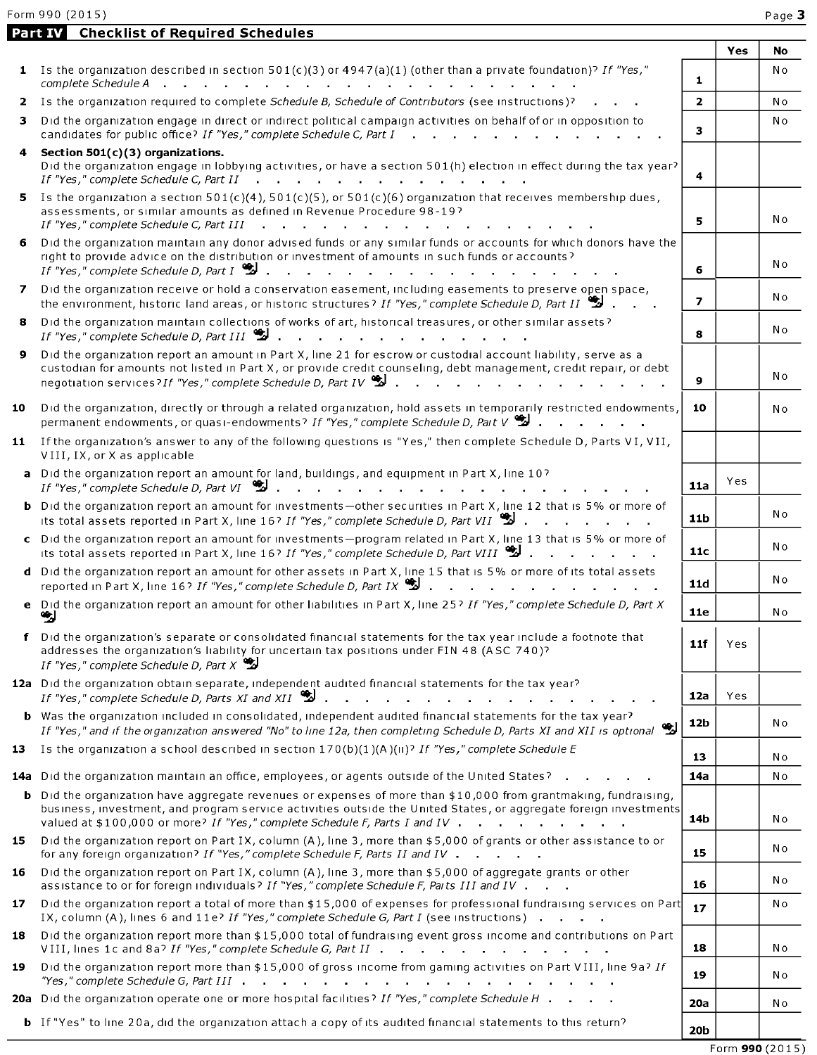Part IV Checklist of Required Schedules

|    |                                                                                                                                                                                                                                                                                                                                                              |                | Yes | No             |
|----|--------------------------------------------------------------------------------------------------------------------------------------------------------------------------------------------------------------------------------------------------------------------------------------------------------------------------------------------------------------|----------------|-----|----------------|
| 1. | Is the organization described in section $501(c)(3)$ or $4947(a)(1)$ (other than a private foundation)? If "Yes,"<br>complete Schedule A<br>and a straight and a straight and                                                                                                                                                                                | 1              |     | No             |
|    | 2 Is the organization required to complete Schedule B, Schedule of Contributors (see instructions)?                                                                                                                                                                                                                                                          | $\overline{2}$ |     | No             |
| 3  | Did the organization engage in direct or indirect political campaign activities on behalf of or in opposition to<br>candidates for public office? If "Yes," complete Schedule C, Part $I \cdot \cdot \cdot$                                                                                                                                                  | з              |     | N <sub>o</sub> |
|    | Section $501(c)(3)$ organizations.<br>Did the organization engage in lobbying activities, or have a section 501(h) election in effect during the tax year?                                                                                                                                                                                                   | 4              |     |                |
| 5. | Is the organization a section $501(c)(4)$ , $501(c)(5)$ , or $501(c)(6)$ organization that receives membership dues,<br>assessments, or similar amounts as defined in Revenue Procedure 98-19?<br>If "Yes," complete Schedule C, Part III<br>the contract of the contract of the contract of the contract of the contract of the contract of the contract of | 5              |     | Νo             |
| 6  | Did the organization maintain any donor advised funds or any similar funds or accounts for which donors have the<br>right to provide advice on the distribution or investment of amounts in such funds or accounts?<br>If "Yes," complete Schedule D, Part $I \overset{\bullet}{\bullet} I$                                                                  | 6              |     | Νo             |
| 7  | Did the organization receive or hold a conservation easement, including easements to preserve open space,<br>the environment, historic land areas, or historic structures? If "Yes," complete Schedule D, Part II                                                                                                                                            | $\overline{ }$ |     | No             |
| 8  | Did the organization maintain collections of works of art, historical treasures, or other similar assets?<br>If "Yes," complete Schedule D, Part III                                                                                                                                                                                                         | 8              |     | Νo             |
| 9  | Did the organization report an amount in Part X, line 21 for escrow or custodial account liability, serve as a<br>custodian for amounts not listed in Part X, or provide credit counseling, debt management, credit repair, or debt<br>negotiation services? If "Yes," complete Schedule D, Part IV                                                          | 9              |     | Νo             |
| 10 | Did the organization, directly or through a related organization, hold assets in temporarily restricted endowments<br>permanent endowments, or quasi-endowments? If "Yes," complete Schedule D, Part V                                                                                                                                                       | 10             |     | Νo             |
| 11 | If the organization's answer to any of the following questions is "Yes," then complete Schedule D, Parts VI, VII,<br>VIII, IX, or X as applicable                                                                                                                                                                                                            |                |     |                |
|    | a Did the organization report an amount for land, buildings, and equipment in Part X, line 10?<br>If "Yes," complete Schedule D, Part VI $\ddot{\ddot{\mathbf{z}}}$                                                                                                                                                                                          | 11a            | Yes |                |
|    | Did the organization report an amount for investments-other securities in Part X, line 12 that is 5% or more of<br>its total assets reported in Part X, line 16? If "Yes," complete Schedule D, Part VII 2                                                                                                                                                   | 11b            |     | No             |
|    | c Did the organization report an amount for investments-program related in Part X, line 13 that is 5% or more of<br>its total assets reported in Part X, line 16? If "Yes," complete Schedule D, Part VIII                                                                                                                                                   | 11c            |     | Νo             |
|    | d Did the organization report an amount for other assets in Part X, line 15 that is 5% or more of its total assets<br>reported in Part X, line 16? If "Yes," complete Schedule D, Part IX $\ddot{\ddot{\mathbf{u}}}$ .                                                                                                                                       | 11d            |     | Νo             |
|    | e Did the organization report an amount for other liabilities in Part X, line 25? If "Yes," complete Schedule D, Part X<br>ч,                                                                                                                                                                                                                                | 11e            |     | No             |
|    | f Did the organization's separate or consolidated financial statements for the tax year include a footnote that<br>addresses the organization's liability for uncertain tax positions under FIN 48 (ASC 740)?<br>If "Yes," complete Schedule D, Part $X \mathbf{S}$                                                                                          | 11f            | Yes |                |
|    | 12a Did the organization obtain separate, independent audited financial statements for the tax year?<br>If "Yes," complete Schedule D, Parts XI and XII $\mathbb{S}$                                                                                                                                                                                         | 12a            | Yes |                |
|    | b Was the organization included in consolidated, independent audited financial statements for the tax year?<br>If "Yes," and if the organization answered "No" to line 12a, then completing Schedule D, Parts XI and XII is optional $\mathcal{L}$                                                                                                           | 12b            |     | N 0            |
| 13 | Is the organization a school described in section $170(b)(1)(A)(ii)$ ? If "Yes," complete Schedule E                                                                                                                                                                                                                                                         | 13             |     | No             |
|    | 14a Did the organization maintain an office, employees, or agents outside of the United States?                                                                                                                                                                                                                                                              | 14a            |     | N o            |
|    | <b>b</b> Did the organization have aggregate revenues or expenses of more than $$10,000$ from grantmaking, fundraising,<br>business, investment, and program service activities outside the United States, or aggregate foreign investments<br>valued at \$100,000 or more? If "Yes," complete Schedule F, Parts I and IV                                    | 14b            |     | Νo             |
| 15 | Did the organization report on Part IX, column (A), line 3, more than \$5,000 of grants or other assistance to or<br>for any foreign organization? If "Yes," complete Schedule F, Parts II and IV                                                                                                                                                            | 15             |     | Νo             |
| 16 | Did the organization report on Part IX, column (A), line 3, more than \$5,000 of aggregate grants or other<br>assistance to or for foreign individuals? If "Yes," complete Schedule F, Parts III and IV                                                                                                                                                      | 16             |     | Νo             |
| 17 | Did the organization report a total of more than \$15,000 of expenses for professional fundraising services on Part<br>IX, column (A), lines 6 and 11e? If "Yes," complete Schedule G, Part I (see instructions)                                                                                                                                             | 17             |     | No             |
| 18 | Did the organization report more than \$15,000 total of fundraising event gross income and contributions on Part<br>VIII, lines 1c and 8a? If "Yes," complete Schedule G, Part II                                                                                                                                                                            | 18             |     | Νo             |
| 19 | Did the organization report more than \$15,000 of gross income from gaming activities on Part VIII, line 9a? If<br>"Yes," complete Schedule G, Part III $\ldots$ , $\ldots$ , $\ldots$ , $\ldots$ , $\ldots$ , $\ldots$ , $\ldots$ , $\ldots$                                                                                                                | 19             |     | No             |
|    | 20a Did the organization operate one or more hospital facilities? If "Yes," complete Schedule H                                                                                                                                                                                                                                                              | <b>20a</b>     |     | No             |
|    | <b>b</b> If "Yes" to line 20a, did the organization attach a copy of its audited financial statements to this return?                                                                                                                                                                                                                                        | 20b            |     |                |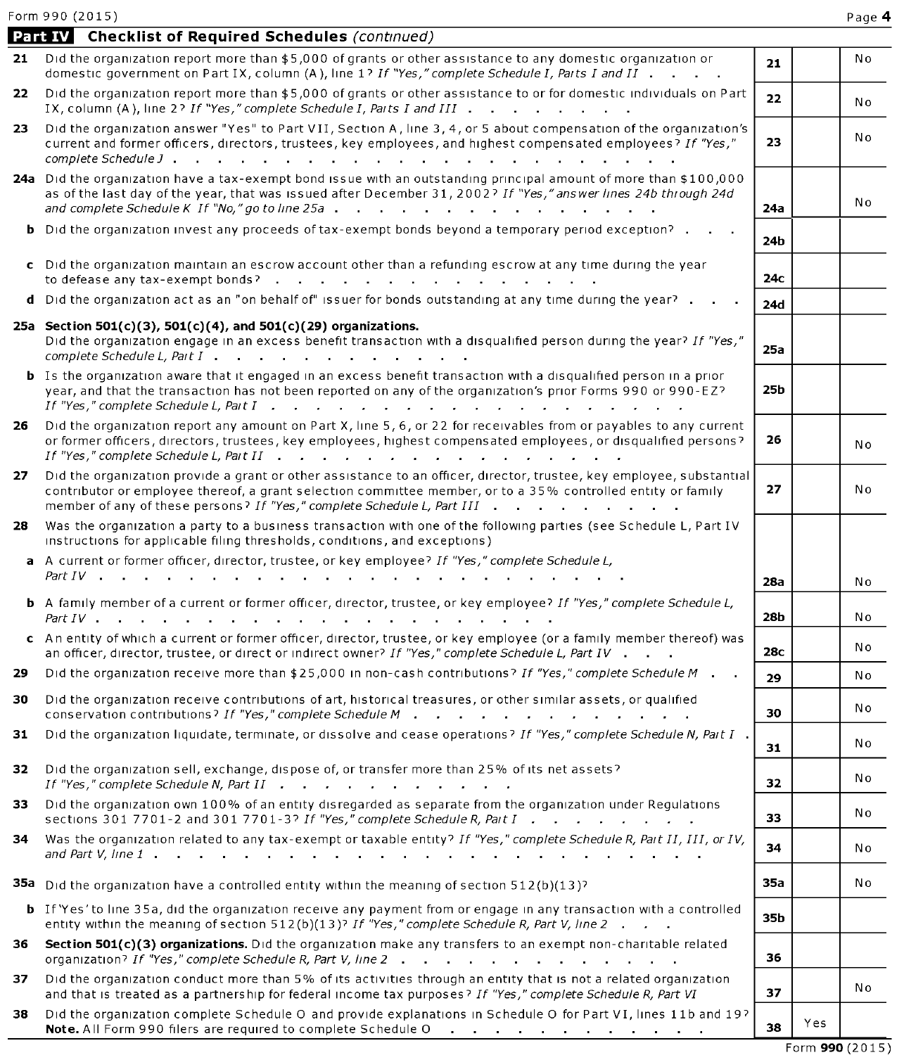|     | Part IV Checklist of Required Schedules (continued)                                                                                                                                                                                                                                                                                                                   |                 |     |     |
|-----|-----------------------------------------------------------------------------------------------------------------------------------------------------------------------------------------------------------------------------------------------------------------------------------------------------------------------------------------------------------------------|-----------------|-----|-----|
|     | 21 Did the organization report more than \$5,000 of grants or other assistance to any domestic organization or<br>domestic government on Part IX, column (A), line 1? If "Yes," complete Schedule I, Parts I and II                                                                                                                                                   | 21              |     | No  |
| 22  | Did the organization report more than \$5,000 of grants or other assistance to or for domestic individuals on Part<br>IX, column (A), line 2? If "Yes," complete Schedule I, Parts I and III                                                                                                                                                                          | 22              |     | N o |
| 23  | Did the organization answer "Yes" to Part VII, Section A, line 3, 4, or 5 about compensation of the organization's<br>current and former officers, directors, trustees, key employees, and highest compensated employees? If "Yes,"                                                                                                                                   | 23              |     | N o |
|     | 24a Did the organization have a tax-exempt bond issue with an outstanding principal amount of more than \$100,000<br>as of the last day of the year, that was issued after December 31, 2002? If "Yes," answer lines 24b through 24d                                                                                                                                  | 24a             |     | No  |
| b.  | Did the organization invest any proceeds of tax-exempt bonds beyond a temporary period exception?                                                                                                                                                                                                                                                                     | 24b             |     |     |
|     | c Did the organization maintain an escrow account other than a refunding escrow at any time during the year<br>to defease any tax-exempt bonds?                                                                                                                                                                                                                       | 24с             |     |     |
|     | d Did the organization act as an "on behalf of" issuer for bonds outstanding at any time during the year?                                                                                                                                                                                                                                                             | 24d             |     |     |
|     | 25a Section 501(c)(3), 501(c)(4), and 501(c)(29) organizations.<br>Did the organization engage in an excess benefit transaction with a disqualified person during the year? If "Yes,"<br>complete Schedule L, Part I                                                                                                                                                  | 25a             |     |     |
|     | <b>b</b> Is the organization aware that it engaged in an excess benefit transaction with a disqualified person in a prior<br>year, and that the transaction has not been reported on any of the organization's prior Forms 990 or 990-EZ?<br>If "Yes," complete Schedule L, Part $I$ $\cdots$ $\cdots$ $\cdots$ $\cdots$ $\cdots$ $\cdots$ $\cdots$ $\cdots$ $\cdots$ | 25b             |     |     |
| 26  | Did the organization report any amount on Part X, line 5, 6, or 22 for receivables from or payables to any current<br>or former officers, directors, trustees, key employees, highest compensated employees, or disqualified persons?                                                                                                                                 | 26              |     | N o |
| 27  | Did the organization provide a grant or other assistance to an officer, director, trustee, key employee, substantial<br>contributor or employee thereof, a grant selection committee member, or to a 35% controlled entity or family<br>member of any of these persons? If "Yes," complete Schedule L, Part III                                                       | 27              |     | N o |
| 28  | Was the organization a party to a business transaction with one of the following parties (see Schedule L, Part IV<br>instructions for applicable filing thresholds, conditions, and exceptions)                                                                                                                                                                       |                 |     |     |
|     | a A current or former officer, director, trustee, or key employee? If "Yes," complete Schedule L,                                                                                                                                                                                                                                                                     |                 |     |     |
|     |                                                                                                                                                                                                                                                                                                                                                                       | <b>28a</b>      |     | N o |
|     | <b>b</b> A family member of a current or former officer, director, trustee, or key employee? If "Yes," complete Schedule L,                                                                                                                                                                                                                                           | <b>28b</b>      |     | No  |
|     | c An entity of which a current or former officer, director, trustee, or key employee (or a family member thereof) was<br>an officer, director, trustee, or direct or indirect owner? If "Yes," complete Schedule L, Part IV                                                                                                                                           | 28 <sub>C</sub> |     | N o |
| 29  | Did the organization receive more than \$25,000 in non-cash contributions? If "Yes," complete Schedule M.                                                                                                                                                                                                                                                             | 29              |     | N o |
| 30  | Did the organization receive contributions of art, historical treasures, or other similar assets, or qualified<br>conservation contributions? If "Yes," complete Schedule M                                                                                                                                                                                           | 30              |     | N o |
| 31  | Did the organization liquidate, terminate, or dissolve and cease operations? If "Yes," complete Schedule N, Part I.                                                                                                                                                                                                                                                   | 31              |     | N o |
| 32. | Did the organization sell, exchange, dispose of, or transfer more than 25% of its net assets?<br>If "Yes," complete Schedule N, Part II $\cdots$ $\cdots$ $\cdots$ $\cdots$ $\cdots$ $\cdots$                                                                                                                                                                         | 32.             |     | No  |
| 33  | Did the organization own 100% of an entity disregarded as separate from the organization under Regulations<br>sections 301 7701-2 and 301 7701-3? If "Yes," complete Schedule R, Part I                                                                                                                                                                               | 33              |     | N o |
| 34  | Was the organization related to any tax-exempt or taxable entity? If "Yes," complete Schedule R, Pait II, III, or IV,                                                                                                                                                                                                                                                 | 34              |     | N o |
|     | <b>35a</b> Did the organization have a controlled entity within the meaning of section $512(b)(13)$ ?                                                                                                                                                                                                                                                                 | 35a             |     | No  |
|     | <b>b</b> If 'Yes' to line 35a, did the organization receive any payment from or engage in any transaction with a controlled<br>entity within the meaning of section 512(b)(13)? If "Yes," complete Schedule R, Part V, line 2                                                                                                                                         | 35b             |     |     |
| 36  | Section 501(c)(3) organizations. Did the organization make any transfers to an exempt non-charitable related<br>organization? If "Yes," complete Schedule R, Part V, line 2                                                                                                                                                                                           | 36              |     |     |
| 37  | Did the organization conduct more than 5% of its activities through an entity that is not a related organization<br>and that is treated as a partnership for federal income tax purposes? If "Yes," complete Schedule R, Part VI                                                                                                                                      | 37              |     | No  |
| 38  | Did the organization complete Schedule O and provide explanations in Schedule O for Part VI, lines 11b and 19?<br>Note. All Form 990 filers are required to complete Schedule O<br>$\mathcal{A}$ . The contribution of the contribution of the contribution of $\mathcal{A}$                                                                                          | 38              | Yes |     |
|     |                                                                                                                                                                                                                                                                                                                                                                       |                 |     |     |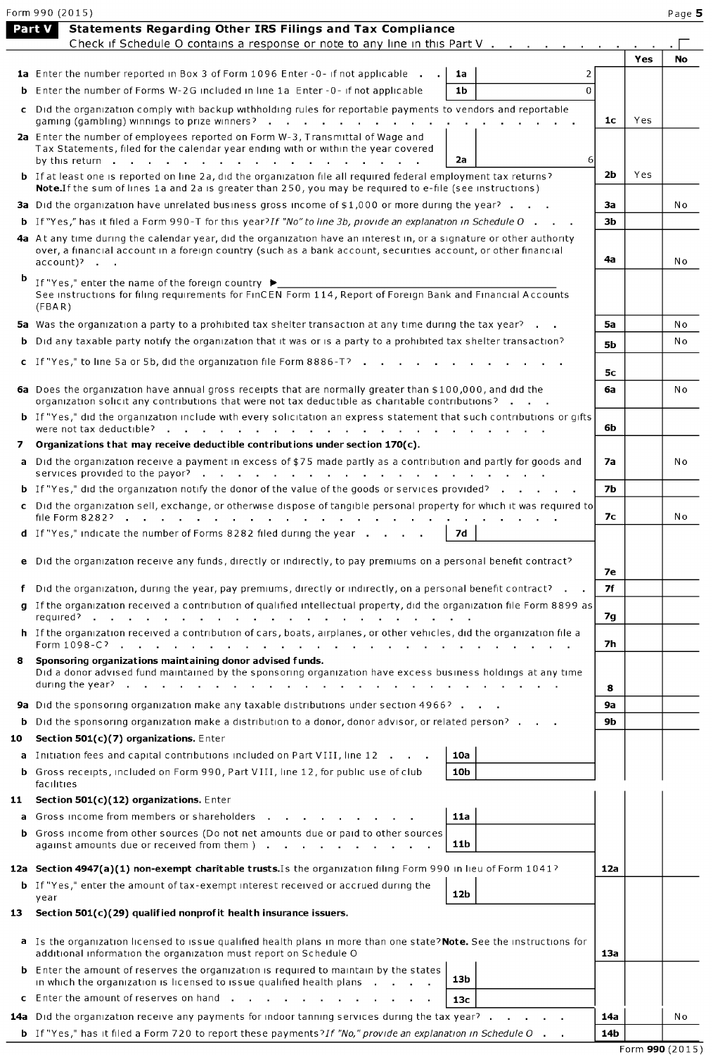|    | Form 990 (2015)                                                                                                                                                                                                                                       |                |     | Page 5    |
|----|-------------------------------------------------------------------------------------------------------------------------------------------------------------------------------------------------------------------------------------------------------|----------------|-----|-----------|
|    | Statements Regarding Other IRS Filings and Tax Compliance<br>Part V<br>Check if Schedule O contains a response or note to any line in this Part V                                                                                                     |                |     |           |
|    |                                                                                                                                                                                                                                                       |                | Yes | <b>No</b> |
|    | <b>1a</b> Enter the number reported in Box 3 of Form 1096 Enter -0- if not applicable<br>2<br>1a                                                                                                                                                      |                |     |           |
|    | <b>b</b> Enter the number of Forms W-2G included in line 1a Enter -0- if not applicable<br>1 <sub>b</sub><br>$\mathbf 0$                                                                                                                              |                |     |           |
|    | c Did the organization comply with backup withholding rules for reportable payments to vendors and reportable<br>gaming (gambling) winnings to prize winners?                                                                                         | 1c             | Yes |           |
|    | 2a Enter the number of employees reported on Form W-3, Transmittal of Wage and<br>Tax Statements, filed for the calendar year ending with or within the year covered                                                                                  |                |     |           |
|    | 2a<br><b>b</b> If at least one is reported on line 2a, did the organization file all required federal employment tax returns?                                                                                                                         | 6<br>2b        | Yes |           |
|    | Note. If the sum of lines 1a and 2a is greater than 250, you may be required to e-file (see instructions)<br><b>3a</b> Did the organization have unrelated business gross income of \$1,000 or more during the year? $\blacksquare$ .                 | За             |     | No        |
|    | <b>b</b> If "Yes," has it filed a Form 990-T for this year? If "No" to line 3b, provide an explanation in Schedule O $\cdot$ $\cdot$                                                                                                                  | 3 <sub>b</sub> |     |           |
|    | 4a At any time during the calendar year, did the organization have an interest in, or a signature or other authority<br>over, a financial account in a foreign country (such as a bank account, securities account, or other financial<br>$account$ ? | 4a             |     | N o       |
| b  | If "Yes," enter the name of the foreign country $\blacktriangleright$<br>See instructions for filing requirements for FinCEN Form 114, Report of Foreign Bank and Financial Accounts<br>(FBA R)                                                       |                |     |           |
|    | 5a Was the organization a party to a prohibited tax shelter transaction at any time during the tax year?                                                                                                                                              | 5a             |     | No        |
|    | <b>b</b> Did any taxable party notify the organization that it was or is a party to a prohibited tax shelter transaction?                                                                                                                             | <b>5b</b>      |     | No        |
|    | c If "Yes," to line 5a or 5b, did the organization file Form $8886 - 7$                                                                                                                                                                               |                |     |           |
|    | 6a Does the organization have annual gross receipts that are normally greater than \$100,000, and did the                                                                                                                                             | 5c<br>6a       |     | N o       |
|    | organization solicit any contributions that were not tax deductible as charitable contributions?<br>b If "Yes," did the organization include with every solicitation an express statement that such contributions or gifts                            |                |     |           |
| 7  | Organizations that may receive deductible contributions under section 170(c).                                                                                                                                                                         | 6b             |     |           |
|    | a Did the organization receive a payment in excess of \$75 made partly as a contribution and partly for goods and                                                                                                                                     | 7а             |     | No        |
|    | <b>b</b> If "Yes," did the organization notify the donor of the value of the goods or services provided?                                                                                                                                              | <b>7b</b>      |     |           |
|    | c Did the organization sell, exchange, or otherwise dispose of tangible personal property for which it was required to                                                                                                                                |                |     |           |
|    | <b>d</b> If "Yes," indicate the number of Forms $8282$ filed during the year $\cdot \cdot \cdot$<br>7d                                                                                                                                                | 7с             |     | N o       |
|    | e Did the organization receive any funds, directly or indirectly, to pay premiums on a personal benefit contract?                                                                                                                                     |                |     |           |
|    |                                                                                                                                                                                                                                                       | <b>7e</b>      |     |           |
|    | f Did the organization, during the year, pay premiums, directly or indirectly, on a personal benefit contract? $\blacksquare$ .                                                                                                                       | 7f             |     |           |
|    | g If the organization received a contribution of qualified intellectual property, did the organization file Form 8899 as<br>required?<br>$\sim$                                                                                                       | 7g             |     |           |
|    | h If the organization received a contribution of cars, boats, airplanes, or other vehicles, did the organization file a<br>Form 1098-C?<br>and the company of<br>$\sim 100$ km s $^{-1}$<br><b>Service</b><br>and the company of the com-             | 7h             |     |           |
| 8  | Sponsoring organizations maintaining donor advised funds.<br>Did a donor advised fund maintained by the sponsoring organization have excess business holdings at any time<br>during the year?.                                                        | 8              |     |           |
|    | <b>9a</b> Did the sponsoring organization make any taxable distributions under section 4966?                                                                                                                                                          | <b>9a</b>      |     |           |
| b  | Did the sponsoring organization make a distribution to a donor, donor advisor, or related person?                                                                                                                                                     | <b>9b</b>      |     |           |
| 10 | Section 501(c)(7) organizations. Enter                                                                                                                                                                                                                |                |     |           |
|    | a Initiation fees and capital contributions included on Part VIII, line 12<br>10a                                                                                                                                                                     |                |     |           |
|    | <b>b</b> Gross receipts, included on Form 990, Part VIII, line 12, for public use of club<br>10b<br>facilities                                                                                                                                        |                |     |           |
| 11 | Section 501(c)(12) organizations. Enter                                                                                                                                                                                                               |                |     |           |
| a  | Gross income from members or shareholders<br>11a                                                                                                                                                                                                      |                |     |           |
| b. | Gross income from other sources (Do not net amounts due or paid to other sources<br>11 <sub>b</sub><br>against amounts due or received from them ).<br>the company of the company                                                                     |                |     |           |
|    | 12a Section 4947(a)(1) non-exempt charitable trusts. Is the organization filing Form 990 in lieu of Form 1041?                                                                                                                                        | 12a            |     |           |
|    | <b>b</b> If "Yes," enter the amount of tax-exempt interest received or accrued during the                                                                                                                                                             |                |     |           |
| 13 | 12b<br>year<br>Section $501(c)(29)$ qualified nonprofit health insurance issuers.                                                                                                                                                                     |                |     |           |
|    | a Is the organization licensed to issue qualified health plans in more than one state? Note. See the instructions for                                                                                                                                 |                |     |           |
|    | additional information the organization must report on Schedule O<br><b>b</b> Enter the amount of reserves the organization is required to maintain by the states<br>13b                                                                              | 13a            |     |           |
|    | in which the organization is licensed to issue qualified health plans.<br>c Enter the amount of reserves on hand                                                                                                                                      |                |     |           |
|    | 13с<br>14a Did the organization receive any payments for indoor tanning services during the tax year?                                                                                                                                                 | 14a            |     | Νo        |
|    | <b>b</b> If "Yes," has it filed a Form 720 to report these payments?If "No," provide an explanation in Schedule O                                                                                                                                     | 14b            |     |           |
|    |                                                                                                                                                                                                                                                       |                |     |           |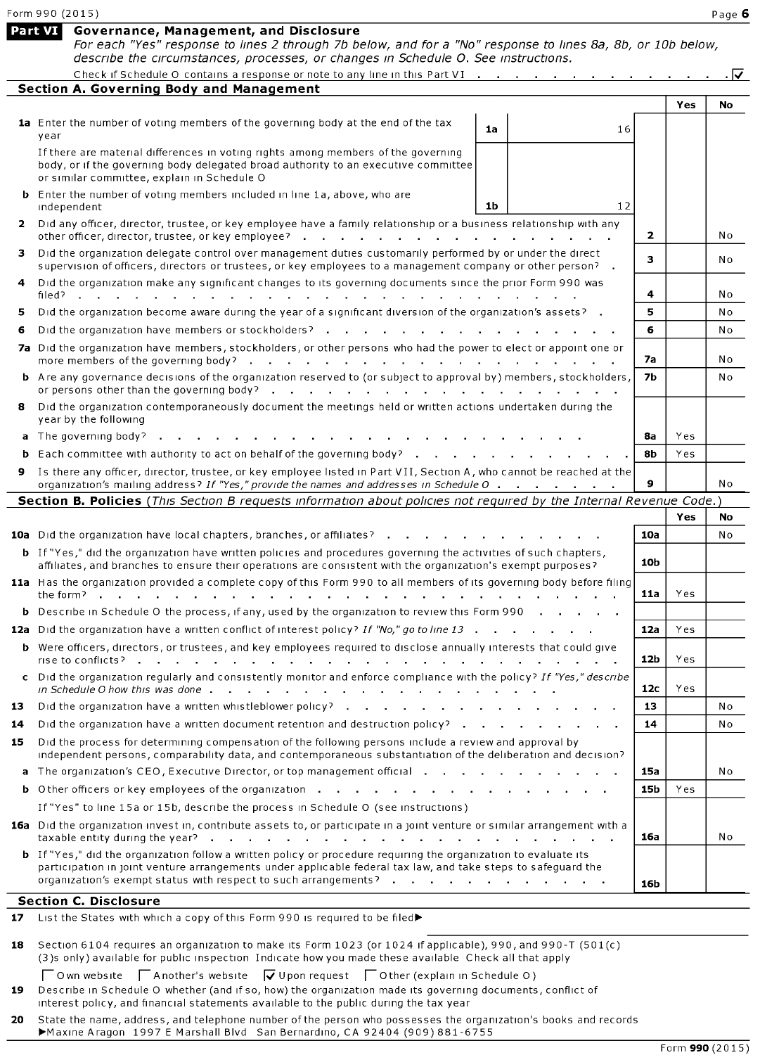|     | Form 990 (2015)                                                                                                                                                                                                                                                                                                                                          |                 |      | Page 6 |
|-----|----------------------------------------------------------------------------------------------------------------------------------------------------------------------------------------------------------------------------------------------------------------------------------------------------------------------------------------------------------|-----------------|------|--------|
|     | Part VI<br>Governance, Management, and Disclosure<br>For each "Yes" response to lines 2 through 7b below, and for a "No" response to lines 8a, 8b, or 10b below,<br>describe the circumstances, processes, or changes in Schedule O. See instructions.                                                                                                   |                 |      |        |
|     | Check if Schedule O contains a response or note to any line in this Part VI                                                                                                                                                                                                                                                                              |                 |      | . I√   |
|     | <b>Section A. Governing Body and Management</b>                                                                                                                                                                                                                                                                                                          |                 |      |        |
|     |                                                                                                                                                                                                                                                                                                                                                          |                 | Yes  | No     |
|     | 1a Enter the number of voting members of the governing body at the end of the tax<br>1a<br>year                                                                                                                                                                                                                                                          | 16              |      |        |
|     | If there are material differences in voting rights among members of the governing<br>body, or if the governing body delegated broad authority to an executive committee<br>or similar committee, explain in Schedule O                                                                                                                                   |                 |      |        |
|     | <b>b</b> Enter the number of voting members included in line 1a, above, who are<br>1 <sub>b</sub><br>independent                                                                                                                                                                                                                                         | 12              |      |        |
|     | 2 Did any officer, director, trustee, or key employee have a family relationship or a business relationship with any<br>other officer, director, trustee, or key employee?<br>and  interval and  interval and  interval and the contract of the contract of the contract of the contract of the contract of the contract of the contract of the contract | 2               |      | No     |
| з   | Did the organization delegate control over management duties customarily performed by or under the direct<br>supervision of officers, directors or trustees, or key employees to a management company or other person? .                                                                                                                                 | 3               |      | No     |
|     | Did the organization make any significant changes to its governing documents since the prior Form 990 was<br>filed?<br>and a straightful contract and a                                                                                                                                                                                                  | 4               |      | No     |
| 5   | Did the organization become aware during the year of a significant diversion of the organization's assets?                                                                                                                                                                                                                                               | 5               |      | No     |
| 6   | Did the organization have members or stockholders?                                                                                                                                                                                                                                                                                                       | 6               |      | No     |
|     | 7a Did the organization have members, stockholders, or other persons who had the power to elect or appoint one or                                                                                                                                                                                                                                        | 7а              |      | No     |
|     | <b>b</b> Are any governance decisions of the organization reserved to (or subject to approval by) members, stockholders,<br>or persons other than the governing body? $\cdot \cdot \cdot \cdot \cdot \cdot \cdot \cdot \cdot \cdot \cdot \cdot \cdot \cdot \cdot \cdot$                                                                                  | <b>7b</b>       |      | No     |
| 8   | Did the organization contemporaneously document the meetings held or written actions undertaken during the<br>year by the following                                                                                                                                                                                                                      |                 |      |        |
| a   | The governing body?                                                                                                                                                                                                                                                                                                                                      | 8а              | Yes. |        |
|     | Each committee with authority to act on behalf of the governing body?                                                                                                                                                                                                                                                                                    | 8b              | Yes  |        |
| 9   | Is there any officer, director, trustee, or key employee listed in Part VII, Section A, who cannot be reached at the<br>organization's mailing address? If "Yes," provide the names and addresses in Schedule O                                                                                                                                          | 9               |      | No     |
|     | Section B. Policies (This Section B requests information about policies not required by the Internal Revenue Code.)                                                                                                                                                                                                                                      |                 |      |        |
|     |                                                                                                                                                                                                                                                                                                                                                          |                 | Yes  | No     |
|     | <b>10a</b> Did the organization have local chapters, branches, or affiliates?                                                                                                                                                                                                                                                                            | 10a             |      | No     |
|     | <b>b</b> If "Yes," did the organization have written policies and procedures governing the activities of such chapters,<br>affiliates, and branches to ensure their operations are consistent with the organization's exempt purposes?                                                                                                                   | 10 <sub>b</sub> |      |        |
|     | 11a Has the organization provided a complete copy of this Form 990 to all members of its governing body before filing<br>the form?<br>and a straight and a straight and                                                                                                                                                                                  | 11a             | Yes  |        |
|     | <b>b</b> Describe in Schedule O the process, if any, used by the organization to review this Form 990.                                                                                                                                                                                                                                                   |                 |      |        |
|     | 12a Did the organization have a written conflict of interest policy? If "No," go to line 13                                                                                                                                                                                                                                                              | 12a             | Yes  |        |
|     | <b>b</b> Were officers, directors, or trustees, and key employees required to disclose annually interests that could give                                                                                                                                                                                                                                | 12 <sub>b</sub> | Yes  |        |
|     | c Did the organization regularly and consistently monitor and enforce compliance with the policy? If "Yes," describe                                                                                                                                                                                                                                     | 12 <sub>c</sub> | Yes  |        |
| 13  |                                                                                                                                                                                                                                                                                                                                                          | 13              |      | No     |
| 14  | Did the organization have a written document retention and destruction policy? $\cdots$ , $\cdots$ , $\cdots$                                                                                                                                                                                                                                            | 14              |      | No     |
| 15. | Did the process for determining compensation of the following persons include a review and approval by<br>independent persons, comparability data, and contemporaneous substantiation of the deliberation and decision?                                                                                                                                  |                 |      |        |
|     | a The organization's CEO, Executive Director, or top management official and all and all and all all and all a                                                                                                                                                                                                                                           | 15a             |      | N o    |
|     |                                                                                                                                                                                                                                                                                                                                                          | 15b             | Yes  |        |
|     | If "Yes" to line 15a or 15b, describe the process in Schedule O (see instructions)                                                                                                                                                                                                                                                                       |                 |      |        |
|     | 16a Did the organization invest in, contribute assets to, or participate in a joint venture or similar arrangement with a                                                                                                                                                                                                                                | 16a             |      | N o    |
|     | <b>b</b> If "Yes," did the organization follow a written policy or procedure requiring the organization to evaluate its<br>participation in joint venture arrangements under applicable federal tax law, and take steps to safeguard the                                                                                                                 |                 |      |        |
|     | organization's exempt status with respect to such arrangements?                                                                                                                                                                                                                                                                                          | 16b             |      |        |
|     | <b>Section C. Disclosure</b>                                                                                                                                                                                                                                                                                                                             |                 |      |        |
| 17  | List the States with which a copy of this Form 990 is required to be filed▶                                                                                                                                                                                                                                                                              |                 |      |        |
| 18  | Section 6104 requires an organization to make its Form 1023 (or 1024 if applicable), 990, and 990-T (501(c)                                                                                                                                                                                                                                              |                 |      |        |

|  | (3)s only) available for public inspection Indicate how you made these available Check all that apply |  |  |
|--|-------------------------------------------------------------------------------------------------------|--|--|
|  |                                                                                                       |  |  |

 $\Box$  Own website  $\Box$  Another's website  $\Box$  Upon request  $\Box$  Other (explain in Schedule 0) 19 Describe in Schedule 0 whether (and if so, how) the organization made its governing documents, conflict of interest policy, and financial statements available to the public during the tax year

20 State the name, address, and telephone number of the person who possesses the organization's books and records Maxine Aragon 1997 E Marshall Blvd San Bernardino, CA 92404 (909) 881-6755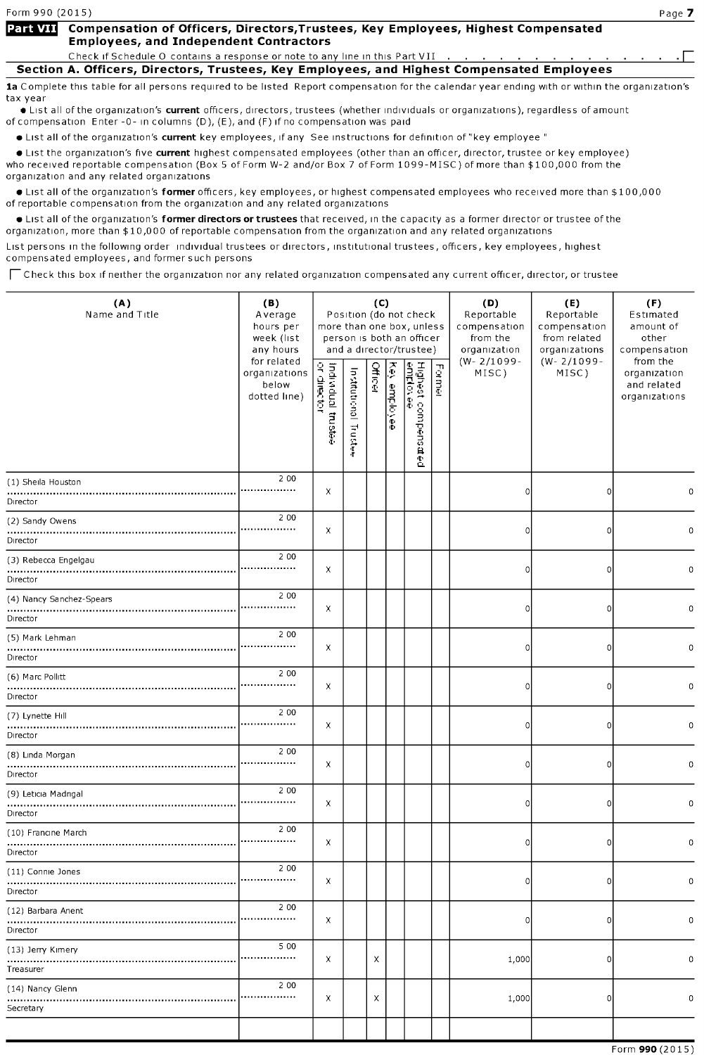### Part VII Compensation of Officers, Directors, Trustees, Key Employees, Highest Compensated **Employees, and Independent Contractors**

Check if Schedule O contains a response or note to any line in this Part VII

Section A. Officers, Directors, Trustees, Key Employees, and Highest Compensated Employees

1a Complete this table for all persons required to be listed Report compensation for the calendar year ending with or within the organization's tax year

**•** List all of the organization's current officers, directors, trustees (whether individuals or organizations), regardless of amount of compensation Enter -0- in columns (D), (E), and (F) if no compensation was paid

• List all of the organization's current key employees, if any See instructions for definition of "key employee"

• List the organization's five current highest compensated employees (other than an officer, director, trustee or key employee) who received reportable compensation (Box <sup>5</sup> of Form W-2 and/or Box <sup>7</sup> of Form 1099-MISC) of more than \$ 100,000 from the organization and any related organizations

**•** List all of the organization's former officers, key employees, or highest compensated employees who received more than \$100,000 of reportable compensation from the organization and any related organizations

**•** List all of the organization's former directors or trustees that received, in the capacity as a former director or trustee of the organization, more than \$10,000 of reportable compensation from the organization and any related organizations

List persons in the following order individual trustees or directors, institutional trustees, officers, key employees, highest compensated employees, and former such persons

 $\Box$  Check this box if neither the organization nor any related organization compensated any current officer, director, or trustee

| (A)<br>Name and Title                | (B)<br>Average<br>hours per<br>week (list<br>any hours |                                   |                          | (C)            |               | Position (do not check<br>more than one box, unless<br>person is both an officer<br>and a director/trustee) |        | (D)<br>Reportable<br>compensation<br>from the<br>organization | (E)<br>Reportable<br>compensation<br>from related<br>organizations | (F)<br>Estimated<br>amount of<br>other<br>compensation   |  |
|--------------------------------------|--------------------------------------------------------|-----------------------------------|--------------------------|----------------|---------------|-------------------------------------------------------------------------------------------------------------|--------|---------------------------------------------------------------|--------------------------------------------------------------------|----------------------------------------------------------|--|
|                                      | for related<br>organizations<br>below<br>dotted line)  | Individual trustee<br>or director | Institutional<br>Trustee | <b>Officer</b> | Ķ<br>employee | Highest compens<br><u>emplovee</u><br>ia ed                                                                 | Former | $(W - 2/1099 -$<br>MISC)                                      | $(W - 2/1099 -$<br>MISC)                                           | from the<br>organization<br>and related<br>organizations |  |
| (1) Sheila Houston<br>Director       | 2 0 0<br>                                              | x                                 |                          |                |               |                                                                                                             |        | 0                                                             | $\Omega$                                                           | 0                                                        |  |
| (2) Sandy Owens<br>Director          | 2 0 0<br>                                              | x                                 |                          |                |               |                                                                                                             |        | 0                                                             | $\Omega$                                                           | 0                                                        |  |
| (3) Rebecca Engelgau<br>Director     | 2 0 0<br>.                                             | x                                 |                          |                |               |                                                                                                             |        | 0                                                             | $\Omega$                                                           | 0                                                        |  |
| (4) Nancy Sanchez-Spears<br>Director | 2 0 0<br>                                              | x                                 |                          |                |               |                                                                                                             |        | 0                                                             | $\Omega$                                                           | 0                                                        |  |
| (5) Mark Lehman<br>Director          | 2 0 0<br>.                                             | x                                 |                          |                |               |                                                                                                             |        | 0                                                             | 0                                                                  | 0                                                        |  |
| (6) Marc Pollitt<br>Director         | 2 0 0<br>                                              | Χ                                 |                          |                |               |                                                                                                             |        | 0                                                             | 0                                                                  | 0                                                        |  |
| (7) Lynette Hill<br>Director         | 2 0 0<br>                                              | x                                 |                          |                |               |                                                                                                             |        | 0                                                             | $\overline{0}$                                                     | 0                                                        |  |
| (8) Linda Morgan<br>Director         | 2 0 0<br>.                                             | X                                 |                          |                |               |                                                                                                             |        | 0                                                             | 0                                                                  | 0                                                        |  |
| (9) Leticia Madrigal<br>Director     | 2 0 0<br>.                                             | x                                 |                          |                |               |                                                                                                             |        | 0                                                             | $\overline{0}$                                                     | 0                                                        |  |
| (10) Francine March<br>Director      | 2 0 0                                                  | x                                 |                          |                |               |                                                                                                             |        | 0                                                             | $\overline{0}$                                                     | 0                                                        |  |
| (11) Connie Jones<br>Director        | 2 0 0                                                  | x                                 |                          |                |               |                                                                                                             |        |                                                               | υ                                                                  |                                                          |  |
| (12) Barbara Arient<br>Director      | 2 0 0<br>.                                             | x                                 |                          |                |               |                                                                                                             |        | 0                                                             | $\overline{0}$                                                     | 0                                                        |  |
| (13) Jerry Kimery<br>Treasurer       | 5 0 0<br>                                              | x                                 |                          | Χ              |               |                                                                                                             |        | 1,000                                                         | 0                                                                  | 0                                                        |  |
| (14) Nancy Glenn<br>Secretary        | 2 0 0<br>                                              | x                                 |                          | X              |               |                                                                                                             |        | 1,000                                                         | $\overline{0}$                                                     | 0                                                        |  |
|                                      |                                                        |                                   |                          |                |               |                                                                                                             |        |                                                               |                                                                    |                                                          |  |

Form 990 (2015)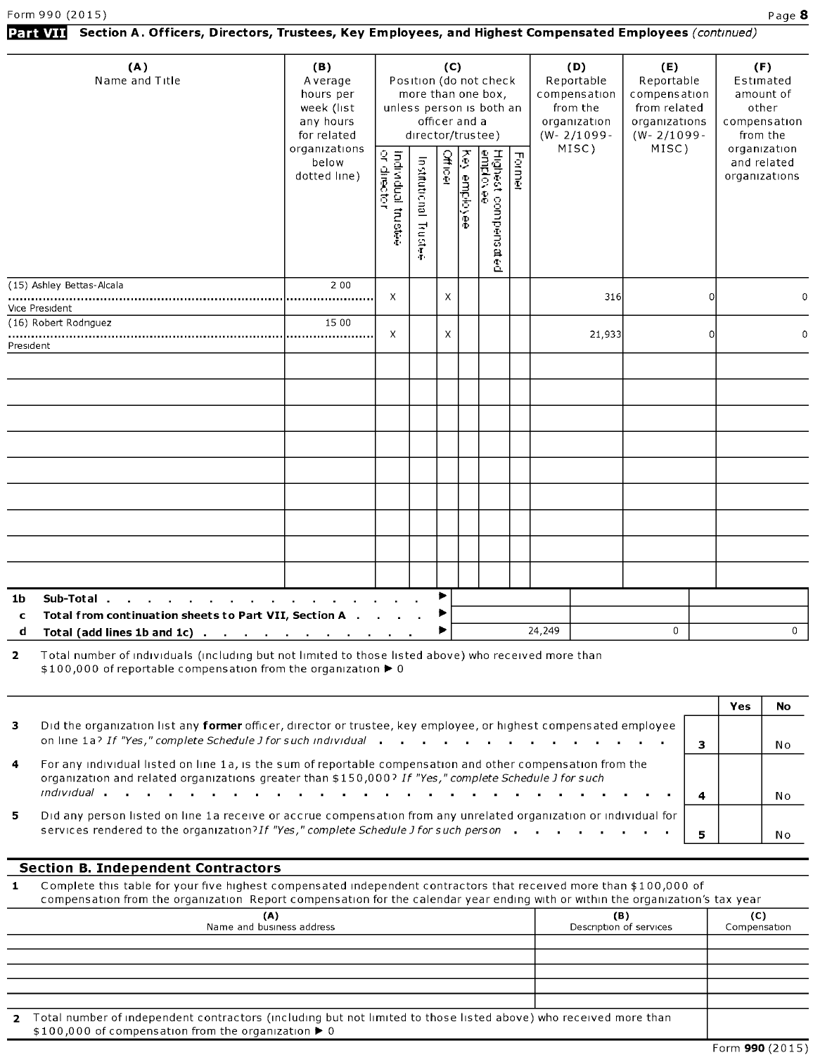## Part VII Section A. Officers, Directors, Trustees, Key Employees, and Highest Compensated Employees (continued)

| (A)<br>Name and Title                                                                                                                                                                    | (B)<br>Average<br>hours per<br>week (list<br>any hours<br>for related<br>organizations<br>below<br>dotted line) | Individual trustee<br>or director | director/trustee)<br>Institutional Trustee | (C)<br>officer and a<br>Officer | Key employee | Position (do not check<br>more than one box,<br>unless person is both an<br>Highest compensated<br>emplovee | Former | (D)<br>Reportable<br>compensation<br>from the<br>organization<br>$(W - 2/1099 -$<br>MISC) | (E)<br>Reportable<br>compensation<br>from related<br>organizations<br>$(W - 2/1099 -$<br>MISC) | (F)<br>Estimated<br>amount of<br>other<br>compensation<br>from the<br>organization<br>and related<br>organizations |
|------------------------------------------------------------------------------------------------------------------------------------------------------------------------------------------|-----------------------------------------------------------------------------------------------------------------|-----------------------------------|--------------------------------------------|---------------------------------|--------------|-------------------------------------------------------------------------------------------------------------|--------|-------------------------------------------------------------------------------------------|------------------------------------------------------------------------------------------------|--------------------------------------------------------------------------------------------------------------------|
| (15) Ashley Bettas-Alcala                                                                                                                                                                | 2 0 0                                                                                                           |                                   |                                            |                                 |              |                                                                                                             |        |                                                                                           |                                                                                                |                                                                                                                    |
| Vice President                                                                                                                                                                           |                                                                                                                 | $\times$                          |                                            | X                               |              |                                                                                                             |        | 316                                                                                       | $\mathbf 0$                                                                                    | 0                                                                                                                  |
| (16) Robert Rodnguez                                                                                                                                                                     | 15 00                                                                                                           |                                   |                                            |                                 |              |                                                                                                             |        |                                                                                           |                                                                                                |                                                                                                                    |
| President                                                                                                                                                                                |                                                                                                                 | $\times$                          |                                            | X                               |              |                                                                                                             |        | 21,933                                                                                    | $\Omega$                                                                                       | $\mathbf 0$                                                                                                        |
|                                                                                                                                                                                          |                                                                                                                 |                                   |                                            |                                 |              |                                                                                                             |        |                                                                                           |                                                                                                |                                                                                                                    |
|                                                                                                                                                                                          |                                                                                                                 |                                   |                                            |                                 |              |                                                                                                             |        |                                                                                           |                                                                                                |                                                                                                                    |
|                                                                                                                                                                                          |                                                                                                                 |                                   |                                            |                                 |              |                                                                                                             |        |                                                                                           |                                                                                                |                                                                                                                    |
|                                                                                                                                                                                          |                                                                                                                 |                                   |                                            |                                 |              |                                                                                                             |        |                                                                                           |                                                                                                |                                                                                                                    |
|                                                                                                                                                                                          |                                                                                                                 |                                   |                                            |                                 |              |                                                                                                             |        |                                                                                           |                                                                                                |                                                                                                                    |
|                                                                                                                                                                                          |                                                                                                                 |                                   |                                            |                                 |              |                                                                                                             |        |                                                                                           |                                                                                                |                                                                                                                    |
|                                                                                                                                                                                          |                                                                                                                 |                                   |                                            |                                 |              |                                                                                                             |        |                                                                                           |                                                                                                |                                                                                                                    |
|                                                                                                                                                                                          |                                                                                                                 |                                   |                                            |                                 |              |                                                                                                             |        |                                                                                           |                                                                                                |                                                                                                                    |
|                                                                                                                                                                                          |                                                                                                                 |                                   |                                            |                                 |              |                                                                                                             |        |                                                                                           |                                                                                                |                                                                                                                    |
|                                                                                                                                                                                          |                                                                                                                 |                                   |                                            |                                 |              |                                                                                                             |        |                                                                                           |                                                                                                |                                                                                                                    |
|                                                                                                                                                                                          |                                                                                                                 |                                   |                                            |                                 |              |                                                                                                             |        |                                                                                           |                                                                                                |                                                                                                                    |
|                                                                                                                                                                                          |                                                                                                                 |                                   |                                            |                                 |              |                                                                                                             |        |                                                                                           |                                                                                                |                                                                                                                    |
| Sub-Total.<br>1 <b>b</b><br>the contract of the contract of the contract of the contract of                                                                                              |                                                                                                                 |                                   |                                            | ▶                               |              |                                                                                                             |        |                                                                                           |                                                                                                |                                                                                                                    |
| Total from continuation sheets to Part VII, Section A<br>$\mathbf c$                                                                                                                     |                                                                                                                 |                                   |                                            | ▶                               |              |                                                                                                             |        |                                                                                           |                                                                                                |                                                                                                                    |
| d<br>Total (add lines 1b and 1c) $\cdots$ $\cdots$ $\cdots$ $\cdots$                                                                                                                     |                                                                                                                 |                                   |                                            | ▶                               |              |                                                                                                             |        | 24,249                                                                                    | $\mathbf 0$                                                                                    | $\mathbf 0$                                                                                                        |
| Total number of individuals (including but not limited to those listed above) who received more than<br>$\overline{2}$<br>\$100,000 of reportable compensation from the organization ▶ 0 |                                                                                                                 |                                   |                                            |                                 |              |                                                                                                             |        |                                                                                           |                                                                                                |                                                                                                                    |

|                      |                                                                                                                                                                                                                      | Yes |      |
|----------------------|----------------------------------------------------------------------------------------------------------------------------------------------------------------------------------------------------------------------|-----|------|
| з.                   | Did the organization list any former officer, director or trustee, key employee, or highest compensated employee                                                                                                     |     |      |
|                      | on line 1a? If "Yes," complete Schedule J for such individual                                                                                                                                                        |     | .N o |
| $\blacktriangleleft$ | For any individual listed on line 1a, is the sum of reportable compensation and other compensation from the<br>organization and related organizations greater than \$150,000? If "Yes," complete Schedule J for such |     |      |
|                      |                                                                                                                                                                                                                      |     | Nο   |
| 5.                   | Did any person listed on line 1a receive or accrue compensation from any unrelated organization or individual for<br>services rendered to the organization? If "Yes," complete Schedule J for such person            |     | No   |
|                      |                                                                                                                                                                                                                      |     |      |

### Section B. Independent Contractors

<sup>1</sup> Complete this table for your five highest compensated independent contractors that received more than \$100,000 of compensation from the organization Report compensation for the calendar year ending with or within the organization's tax year

| (A)<br>Name and business address                                                                                                                                                              | (B)<br>Description of services | $\mathbf C$<br>Compensation |
|-----------------------------------------------------------------------------------------------------------------------------------------------------------------------------------------------|--------------------------------|-----------------------------|
|                                                                                                                                                                                               |                                |                             |
|                                                                                                                                                                                               |                                |                             |
|                                                                                                                                                                                               |                                |                             |
|                                                                                                                                                                                               |                                |                             |
|                                                                                                                                                                                               |                                |                             |
| 2 Total number of independent contractors (including but not limited to those listed above) who received more than<br>\$100,000 of compensation from the organization $\blacktriangleright$ 0 |                                |                             |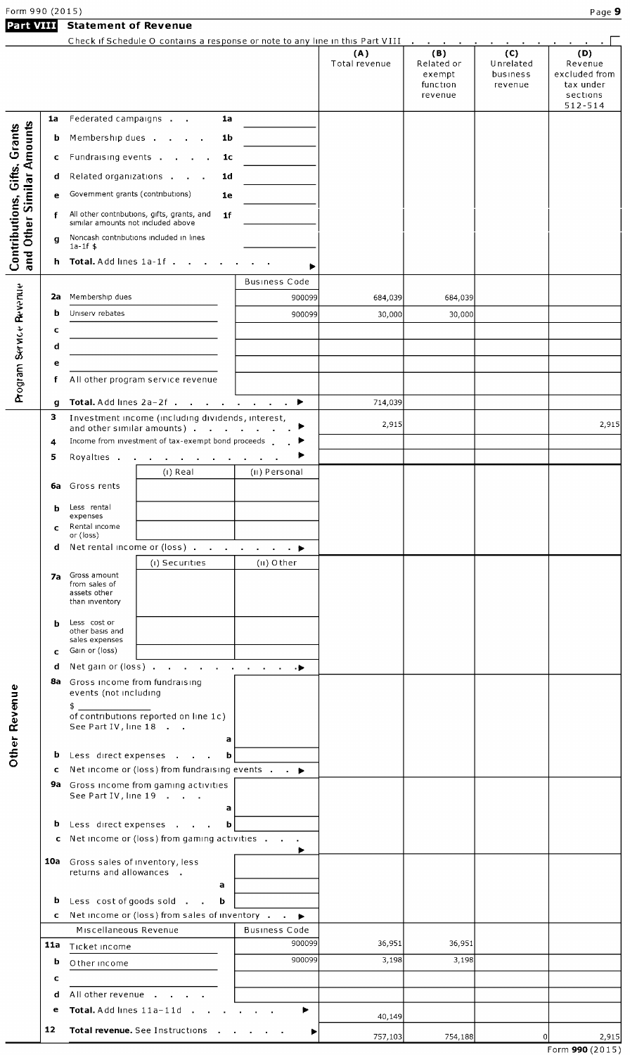Form 990 (2015) Page 9 Part VIII Statement of Revenue

|                                     |        |                                                                                   |                                                                                                                                                                                                                                |                                | (A)<br>Total revenue | (B)<br>Related or<br>exempt<br>function<br>revenue | (C)<br>Unrelated<br>business<br>revenue | (D)<br>Revenue<br>excluded from<br>tax under<br>sections<br>$512 - 514$ |
|-------------------------------------|--------|-----------------------------------------------------------------------------------|--------------------------------------------------------------------------------------------------------------------------------------------------------------------------------------------------------------------------------|--------------------------------|----------------------|----------------------------------------------------|-----------------------------------------|-------------------------------------------------------------------------|
|                                     | 1a     | Federated campaigns                                                               | 1a                                                                                                                                                                                                                             |                                |                      |                                                    |                                         |                                                                         |
|                                     | b      | Membership dues                                                                   | 1b                                                                                                                                                                                                                             |                                |                      |                                                    |                                         |                                                                         |
|                                     | с      | Fundraising events                                                                | 1c                                                                                                                                                                                                                             |                                |                      |                                                    |                                         |                                                                         |
| Similar Amounts                     | d      | Related organizations                                                             | 1d                                                                                                                                                                                                                             |                                |                      |                                                    |                                         |                                                                         |
|                                     | e      | Government grants (contributions)                                                 | 1e                                                                                                                                                                                                                             |                                |                      |                                                    |                                         |                                                                         |
|                                     | f      | All other contributions, gifts, grants, and<br>similar amounts not included above | 1f                                                                                                                                                                                                                             |                                |                      |                                                    |                                         |                                                                         |
| Other!                              | g      | Noncash contributions included in lines                                           |                                                                                                                                                                                                                                |                                |                      |                                                    |                                         |                                                                         |
| Contributions, Gifts, Grants<br>and |        | $1a-1f$ \$                                                                        |                                                                                                                                                                                                                                |                                |                      |                                                    |                                         |                                                                         |
|                                     |        | h Total. Add lines 1a-1f.                                                         |                                                                                                                                                                                                                                | ▶                              |                      |                                                    |                                         |                                                                         |
|                                     | 2a     | Membership dues                                                                   |                                                                                                                                                                                                                                | Business Code<br>900099        | 684,039              | 684,039                                            |                                         |                                                                         |
|                                     | b      | Uniserv rebates                                                                   |                                                                                                                                                                                                                                | 900099                         | 30,000               | 30,000                                             |                                         |                                                                         |
|                                     | с      |                                                                                   |                                                                                                                                                                                                                                |                                |                      |                                                    |                                         |                                                                         |
|                                     | d      |                                                                                   |                                                                                                                                                                                                                                |                                |                      |                                                    |                                         |                                                                         |
|                                     | е      |                                                                                   |                                                                                                                                                                                                                                |                                |                      |                                                    |                                         |                                                                         |
| Program Service Revenue             | f      | All other program service revenue                                                 |                                                                                                                                                                                                                                |                                |                      |                                                    |                                         |                                                                         |
|                                     | g      |                                                                                   | Total. Add lines 2a-2f                                                                                                                                                                                                         | ▶<br>$\sim 100$<br>$\sim 100$  | 714,039              |                                                    |                                         |                                                                         |
|                                     | з      |                                                                                   | Investment income (including dividends, interest,                                                                                                                                                                              |                                | 2,915                |                                                    |                                         | 2,915                                                                   |
|                                     | 4      |                                                                                   | and other similar amounts)<br>Income from investment of tax-exempt bond proceeds                                                                                                                                               | $\mathbf{r}$ .                 |                      |                                                    |                                         |                                                                         |
|                                     | 5      |                                                                                   | Royalties and the service of the service of the service of the service of the service of the service of the service of the service of the service of the service of the service of the service of the service of the service o |                                |                      |                                                    |                                         |                                                                         |
|                                     |        |                                                                                   | (i) Real                                                                                                                                                                                                                       | (ii) Personal                  |                      |                                                    |                                         |                                                                         |
|                                     | 6а     | Gross rents                                                                       |                                                                                                                                                                                                                                |                                |                      |                                                    |                                         |                                                                         |
|                                     | b      | Less rental<br>expenses                                                           |                                                                                                                                                                                                                                |                                |                      |                                                    |                                         |                                                                         |
|                                     | C      | Rental income<br>or (loss)                                                        |                                                                                                                                                                                                                                |                                |                      |                                                    |                                         |                                                                         |
|                                     | d      |                                                                                   | Net rental income or (loss)                                                                                                                                                                                                    | $\mathbf{a}$ , $\mathbf{a}$    |                      |                                                    |                                         |                                                                         |
|                                     |        |                                                                                   | (i) Securities                                                                                                                                                                                                                 | $(II)$ Other                   |                      |                                                    |                                         |                                                                         |
|                                     | 7а     | Gross amount<br>from sales of<br>assets other                                     |                                                                                                                                                                                                                                |                                |                      |                                                    |                                         |                                                                         |
|                                     |        | than inventory                                                                    |                                                                                                                                                                                                                                |                                |                      |                                                    |                                         |                                                                         |
|                                     | b      | Less cost or<br>other basis and                                                   |                                                                                                                                                                                                                                |                                |                      |                                                    |                                         |                                                                         |
|                                     |        | sales expenses                                                                    |                                                                                                                                                                                                                                |                                |                      |                                                    |                                         |                                                                         |
|                                     | c<br>d | Gain or (loss)                                                                    | Net gain or (loss) $\cdots$ $\cdots$ $\cdots$ $\cdots$                                                                                                                                                                         |                                |                      |                                                    |                                         |                                                                         |
|                                     |        | 8a Gross income from fundraising                                                  |                                                                                                                                                                                                                                |                                |                      |                                                    |                                         |                                                                         |
| <b>Other Revenue</b>                |        | events (not including                                                             |                                                                                                                                                                                                                                |                                |                      |                                                    |                                         |                                                                         |
|                                     |        | \$_<br>of contributions reported on line 1c)                                      |                                                                                                                                                                                                                                |                                |                      |                                                    |                                         |                                                                         |
|                                     |        | See Part IV, line 18                                                              | a                                                                                                                                                                                                                              |                                |                      |                                                    |                                         |                                                                         |
|                                     |        | <b>b</b> Less direct expenses                                                     | b                                                                                                                                                                                                                              |                                |                      |                                                    |                                         |                                                                         |
|                                     | c      |                                                                                   | Net income or (loss) from fundraising events $\cdot$ $\cdot$                                                                                                                                                                   |                                |                      |                                                    |                                         |                                                                         |
|                                     |        | <b>9a</b> Gross income from gaming activities<br>See Part IV, line 19             |                                                                                                                                                                                                                                |                                |                      |                                                    |                                         |                                                                         |
|                                     |        |                                                                                   | a                                                                                                                                                                                                                              |                                |                      |                                                    |                                         |                                                                         |
|                                     |        | <b>b</b> Less direct expenses                                                     | b                                                                                                                                                                                                                              |                                |                      |                                                    |                                         |                                                                         |
|                                     |        |                                                                                   | c Net income or (loss) from gaming activities                                                                                                                                                                                  |                                |                      |                                                    |                                         |                                                                         |
|                                     |        | <b>10a</b> Gross sales of inventory, less                                         |                                                                                                                                                                                                                                |                                |                      |                                                    |                                         |                                                                         |
|                                     |        | returns and allowances.                                                           | a                                                                                                                                                                                                                              |                                |                      |                                                    |                                         |                                                                         |
|                                     |        | <b>b</b> Less cost of goods sold $\cdot$                                          | b                                                                                                                                                                                                                              |                                |                      |                                                    |                                         |                                                                         |
|                                     |        |                                                                                   | <b>c</b> Net income or (loss) from sales of inventory                                                                                                                                                                          | $\blacktriangleright$          |                      |                                                    |                                         |                                                                         |
|                                     | 11a    | Miscellaneous Revenue                                                             |                                                                                                                                                                                                                                | <b>Business Code</b><br>900099 | 36,951               | 36,951                                             |                                         |                                                                         |
|                                     | b      | Ticket income<br>O ther income                                                    |                                                                                                                                                                                                                                | 900099                         | 3,198                | 3,198                                              |                                         |                                                                         |
|                                     | c      |                                                                                   |                                                                                                                                                                                                                                |                                |                      |                                                    |                                         |                                                                         |
|                                     | d      | All other revenue                                                                 |                                                                                                                                                                                                                                |                                |                      |                                                    |                                         |                                                                         |
|                                     | е      | Total Add lines 11a-11d                                                           |                                                                                                                                                                                                                                |                                | 40,149               |                                                    |                                         |                                                                         |
|                                     | 12     |                                                                                   | Total revenue. See Instructions                                                                                                                                                                                                | ▶                              | 757,103              |                                                    |                                         |                                                                         |
|                                     |        |                                                                                   |                                                                                                                                                                                                                                |                                |                      | 754,188                                            |                                         | 2,915<br>Form 990 (2015)                                                |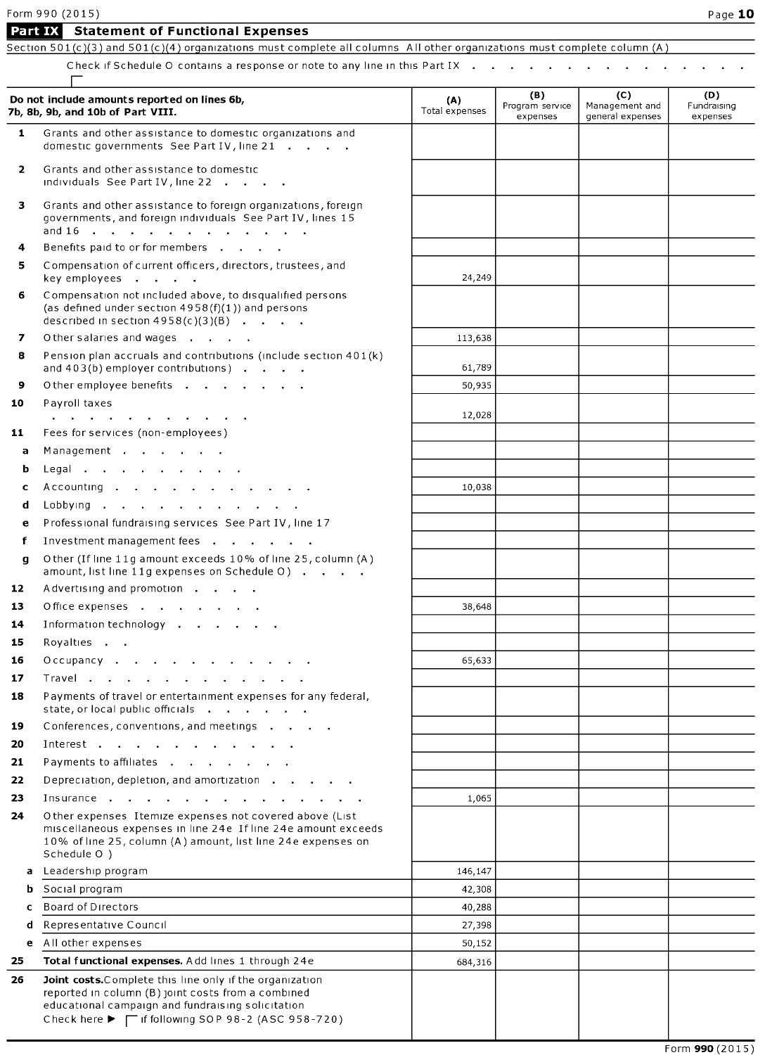|                | Form 990 (2015)<br>Part IX Statement of Functional Expenses                                                                                                                                              |                       |                                    |                                           | Page 10                        |
|----------------|----------------------------------------------------------------------------------------------------------------------------------------------------------------------------------------------------------|-----------------------|------------------------------------|-------------------------------------------|--------------------------------|
|                | Section 501(c)(3) and 501(c)(4) organizations must complete all columns. All other organizations must complete column (A)                                                                                |                       |                                    |                                           |                                |
|                | Check if Schedule O contains a response or note to any line in this Part IX $\cdot$ $\cdot$ $\cdot$ $\cdot$ $\cdot$ $\cdot$ $\cdot$                                                                      |                       |                                    |                                           |                                |
|                | Do not include amounts reported on lines 6b,<br>7b, 8b, 9b, and 10b of Part VIII.                                                                                                                        | (A)<br>Total expenses | (B)<br>Program service<br>expenses | (C)<br>Management and<br>general expenses | (D)<br>Fundraising<br>expenses |
| 1.             | Grants and other assistance to domestic organizations and<br>domestic governments See Part IV, line 21                                                                                                   |                       |                                    |                                           |                                |
| $\overline{2}$ | Grants and other assistance to domestic<br>individuals See Part IV, line 22                                                                                                                              |                       |                                    |                                           |                                |
| 3              | Grants and other assistance to foreign organizations, foreign<br>governments, and foreign individuals See Part IV, lines 15                                                                              |                       |                                    |                                           |                                |
| 4              | Benefits paid to or for members                                                                                                                                                                          |                       |                                    |                                           |                                |
| 5              | Compensation of current officers, directors, trustees, and<br>key employees                                                                                                                              | 24,249                |                                    |                                           |                                |
| 6              | Compensation not included above, to disqualified persons<br>(as defined under section $4958(f)(1)$ ) and persons<br>described in section $4958(c)(3)(B)$                                                 |                       |                                    |                                           |                                |
| 7              | Other salaries and wages                                                                                                                                                                                 | 113,638               |                                    |                                           |                                |
| 8              | Pension plan accruals and contributions (include section 401(k)<br>and 403(b) employer contributions)                                                                                                    | 61,789                |                                    |                                           |                                |
| 9              | Other employee benefits                                                                                                                                                                                  | 50,935                |                                    |                                           |                                |
| 10             | Payroll taxes<br>and a series of the contract of the contract of the                                                                                                                                     | 12,028                |                                    |                                           |                                |
| 11             | Fees for services (non-employees)                                                                                                                                                                        |                       |                                    |                                           |                                |
| a              | Management                                                                                                                                                                                               |                       |                                    |                                           |                                |
| b              | Legal                                                                                                                                                                                                    |                       |                                    |                                           |                                |
| c              | Accounting                                                                                                                                                                                               | 10,038                |                                    |                                           |                                |
| d              | Lobbying                                                                                                                                                                                                 |                       |                                    |                                           |                                |
| e              | Professional fundraising services See Part IV, line 17                                                                                                                                                   |                       |                                    |                                           |                                |
| f              | Investment management fees                                                                                                                                                                               |                       |                                    |                                           |                                |
| g              | Other (If line 11g amount exceeds 10% of line 25, column (A)<br>amount, list line 11g expenses on Schedule O)                                                                                            |                       |                                    |                                           |                                |
| 12             | Advertising and promotion                                                                                                                                                                                |                       |                                    |                                           |                                |
| 13             | Office expenses                                                                                                                                                                                          | 38,648                |                                    |                                           |                                |
| 14             | Information technology                                                                                                                                                                                   |                       |                                    |                                           |                                |
| 15             | Royalties                                                                                                                                                                                                |                       |                                    |                                           |                                |
| 16             | Occupancy                                                                                                                                                                                                | 65,633                |                                    |                                           |                                |
| 17             | Travel                                                                                                                                                                                                   |                       |                                    |                                           |                                |
| 18             | Payments of travel or entertainment expenses for any federal,<br>state, or local public officials                                                                                                        |                       |                                    |                                           |                                |
| 19             | Conferences, conventions, and meetings                                                                                                                                                                   |                       |                                    |                                           |                                |
| 20             | Interest                                                                                                                                                                                                 |                       |                                    |                                           |                                |
| 21             | Payments to affiliates                                                                                                                                                                                   |                       |                                    |                                           |                                |
| 22             | Depreciation, depletion, and amortization                                                                                                                                                                |                       |                                    |                                           |                                |
| 23             | Insurance                                                                                                                                                                                                | 1,065                 |                                    |                                           |                                |
| 24             | Other expenses Itemize expenses not covered above (List<br>miscellaneous expenses in line 24e If line 24e amount exceeds<br>10% of line 25, column (A) amount, list line 24e expenses on<br>Schedule O ) |                       |                                    |                                           |                                |
| a              | Leadership program                                                                                                                                                                                       | 146,147               |                                    |                                           |                                |
| b              | Social program                                                                                                                                                                                           | 42,308                |                                    |                                           |                                |
| c              | <b>Board of Directors</b>                                                                                                                                                                                | 40,288                |                                    |                                           |                                |
| d              | Representative Council                                                                                                                                                                                   | 27,398                |                                    |                                           |                                |
| e              | All other expenses                                                                                                                                                                                       | 50,152                |                                    |                                           |                                |
| 25             | Total functional expenses. Add lines 1 through 24e                                                                                                                                                       | 684,316               |                                    |                                           |                                |

26 Joint costs. Complete this line only if the organization reported in column (B) joint costs from <sup>a</sup> combined educational campaign and fundraising solicitation Check here  $\blacktriangleright$   $\top$  if following SOP 98-2 (ASC 958-720)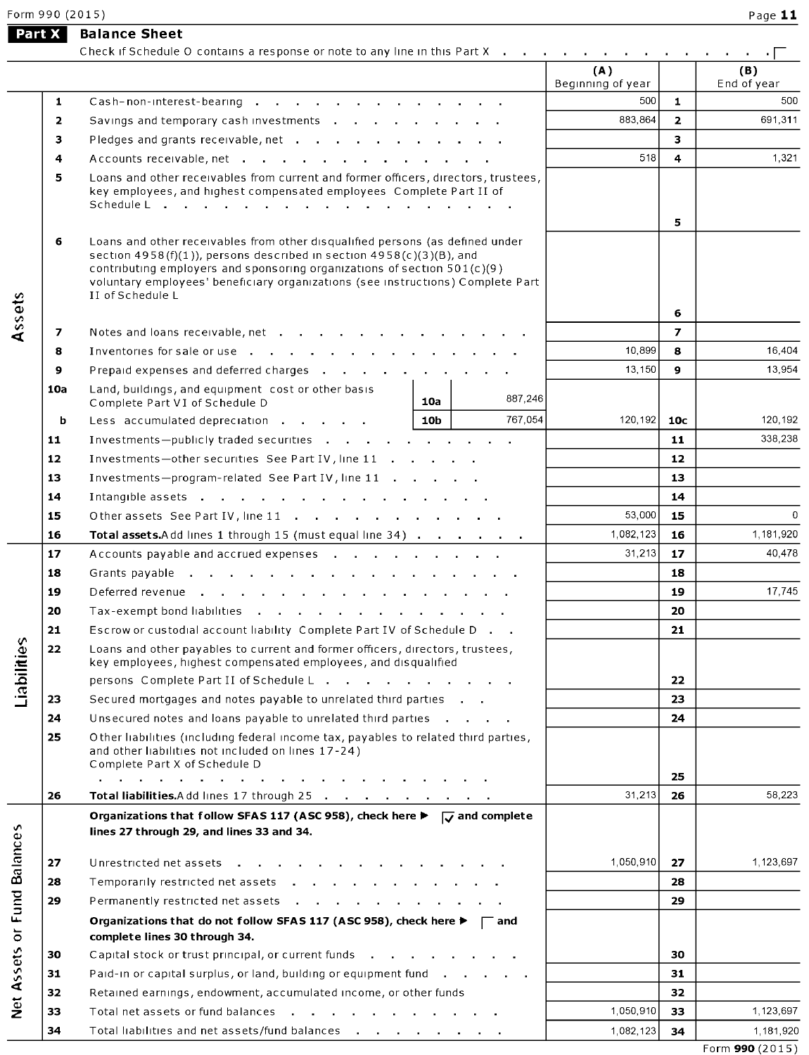**Part X** Balance Sheet

|                                            |     | Check if Schedule O contains a response or note to any line in this Part X                                                                                                                                                                                                                                                                       |        |         |                          |                |                    |
|--------------------------------------------|-----|--------------------------------------------------------------------------------------------------------------------------------------------------------------------------------------------------------------------------------------------------------------------------------------------------------------------------------------------------|--------|---------|--------------------------|----------------|--------------------|
|                                            |     |                                                                                                                                                                                                                                                                                                                                                  |        |         | (A)<br>Beginning of year |                | (B)<br>End of year |
|                                            | 1   | Cash-non-interest-bearing                                                                                                                                                                                                                                                                                                                        |        |         | 500                      | $\mathbf{1}$   | 500                |
|                                            | 2   | Savings and temporary cash investments                                                                                                                                                                                                                                                                                                           |        |         | 883,864                  | $\overline{2}$ | 691,311            |
|                                            | з   | Pledges and grants receivable, net                                                                                                                                                                                                                                                                                                               |        |         |                          | 3              |                    |
|                                            | 4   | Accounts receivable, net                                                                                                                                                                                                                                                                                                                         |        | 518     | 4                        | 1,321          |                    |
|                                            | 5   | Loans and other receivables from current and former officers, directors, trustees,<br>key employees, and highest compensated employees Complete Part II of                                                                                                                                                                                       |        | 5       |                          |                |                    |
|                                            | 6   | Loans and other receivables from other disqualified persons (as defined under<br>section $4958(f)(1)$ ), persons described in section $4958(c)(3)(B)$ , and<br>contributing employers and sponsoring organizations of section $501(c)(9)$<br>voluntary employees' beneficiary organizations (see instructions) Complete Part<br>II of Schedule L |        |         | 6                        |                |                    |
| Assets                                     | 7   |                                                                                                                                                                                                                                                                                                                                                  |        |         |                          | $\overline{ }$ |                    |
|                                            | 8   |                                                                                                                                                                                                                                                                                                                                                  |        |         | 10,899                   | 8              | 16,404             |
|                                            | 9   | Prepaid expenses and deferred charges                                                                                                                                                                                                                                                                                                            |        |         | 13,150                   | 9              | 13,954             |
|                                            | 10a | Land, buildings, and equipment cost or other basis                                                                                                                                                                                                                                                                                               |        |         |                          |                |                    |
|                                            |     | Complete Part VI of Schedule D                                                                                                                                                                                                                                                                                                                   | 10a    | 887,246 |                          |                |                    |
|                                            | b   | Less accumulated depreciation                                                                                                                                                                                                                                                                                                                    | 10b    | 767,054 | 120,192                  | 10c            | 120,192            |
|                                            | 11  | Investments-publicly traded securities                                                                                                                                                                                                                                                                                                           |        |         |                          | 11             | 338,238            |
|                                            | 12  | Investments-other securities See Part IV, line 11                                                                                                                                                                                                                                                                                                |        |         |                          | 12             |                    |
|                                            | 13  | Investments-program-related See Part IV, line 11                                                                                                                                                                                                                                                                                                 |        |         | 13                       |                |                    |
|                                            | 14  | Intangible assets                                                                                                                                                                                                                                                                                                                                |        | 14      |                          |                |                    |
|                                            | 15  | Other assets See Part IV, line 11                                                                                                                                                                                                                                                                                                                | 53,000 | 15      | $\mathbf 0$              |                |                    |
|                                            | 16  | Total assets.Add lines 1 through 15 (must equal line 34)                                                                                                                                                                                                                                                                                         |        |         | 1,082,123                | 16             | 1,181,920          |
|                                            | 17  | Accounts payable and accrued expenses                                                                                                                                                                                                                                                                                                            |        |         | 31,213                   | 17             | 40,478             |
|                                            | 18  |                                                                                                                                                                                                                                                                                                                                                  |        |         |                          | 18             |                    |
|                                            | 19  |                                                                                                                                                                                                                                                                                                                                                  |        |         |                          | 19             | 17,745             |
|                                            | 20  | Tax-exempt bond liabilities                                                                                                                                                                                                                                                                                                                      |        |         |                          | 20             |                    |
|                                            | 21  | Escrow or custodial account liability Complete Part IV of Schedule D.                                                                                                                                                                                                                                                                            |        |         |                          | 21             |                    |
| dabilities                                 | 22  | Loans and other payables to current and former officers, directors, trustees,<br>key employees, highest compensated employees, and disqualified                                                                                                                                                                                                  |        |         |                          |                |                    |
|                                            |     | persons $\complement$ Complete Part II of Schedule $\complement$                                                                                                                                                                                                                                                                                 |        |         |                          | 22             |                    |
|                                            | 23  | Secured mortgages and notes payable to unrelated third parties                                                                                                                                                                                                                                                                                   |        |         |                          | 23             |                    |
|                                            | 24  | Unsecured notes and loans payable to unrelated third parties $\ldots$ .                                                                                                                                                                                                                                                                          |        |         |                          | 24             |                    |
|                                            | 25  | Other liabilities (including federal income tax, payables to related third parties,<br>and other liabilities not included on lines 17-24)<br>Complete Part X of Schedule D<br>and a straightful control of the state of                                                                                                                          |        |         | 25                       |                |                    |
|                                            | 26  | and the company of the company<br>Total liabilities. Add lines 17 through 25                                                                                                                                                                                                                                                                     |        |         | 31,213                   | 26             | 58,223             |
|                                            |     | Organizations that follow SFAS 117 (ASC 958), check here $\blacktriangleright \overline{\smash{\bigcup}}$ and complete<br>lines 27 through 29, and lines 33 and 34.                                                                                                                                                                              |        |         |                          |                |                    |
|                                            | 27  | Unrestricted net assets<br><b>Contract Contract</b>                                                                                                                                                                                                                                                                                              |        |         | 1,050,910                | 27             | 1,123,697          |
|                                            | 28  | Temporarily restricted net assets                                                                                                                                                                                                                                                                                                                |        |         |                          | 28             |                    |
|                                            | 29  | Permanently restricted net assets                                                                                                                                                                                                                                                                                                                |        |         |                          | 29             |                    |
| <b>Fund Balances</b><br>$\overline{\circ}$ |     | Organizations that do not follow SFAS 117 (ASC 958), check here $\blacktriangleright \ \ \ \ \ \ \ \ \$<br>complete lines 30 through 34.                                                                                                                                                                                                         |        |         |                          |                |                    |
|                                            | 30  | Capital stock or trust principal, or current funds                                                                                                                                                                                                                                                                                               |        |         |                          | 30             |                    |
|                                            | 31  | Paid-in or capital surplus, or land, building or equipment fund                                                                                                                                                                                                                                                                                  |        |         |                          | 31             |                    |
|                                            | 32  | Retained earnings, endowment, accumulated income, or other funds                                                                                                                                                                                                                                                                                 |        |         |                          | 32             |                    |
| Net Assets                                 | 33  | Total net assets or fund balances                                                                                                                                                                                                                                                                                                                |        |         | 1,050,910                | 33             | 1,123,697          |
|                                            | 34  | Total liabilities and net assets/fund balances                                                                                                                                                                                                                                                                                                   |        |         | 1,082,123                | 34             | 1,181,920          |
|                                            |     |                                                                                                                                                                                                                                                                                                                                                  |        |         |                          |                |                    |

Form 990 (2015)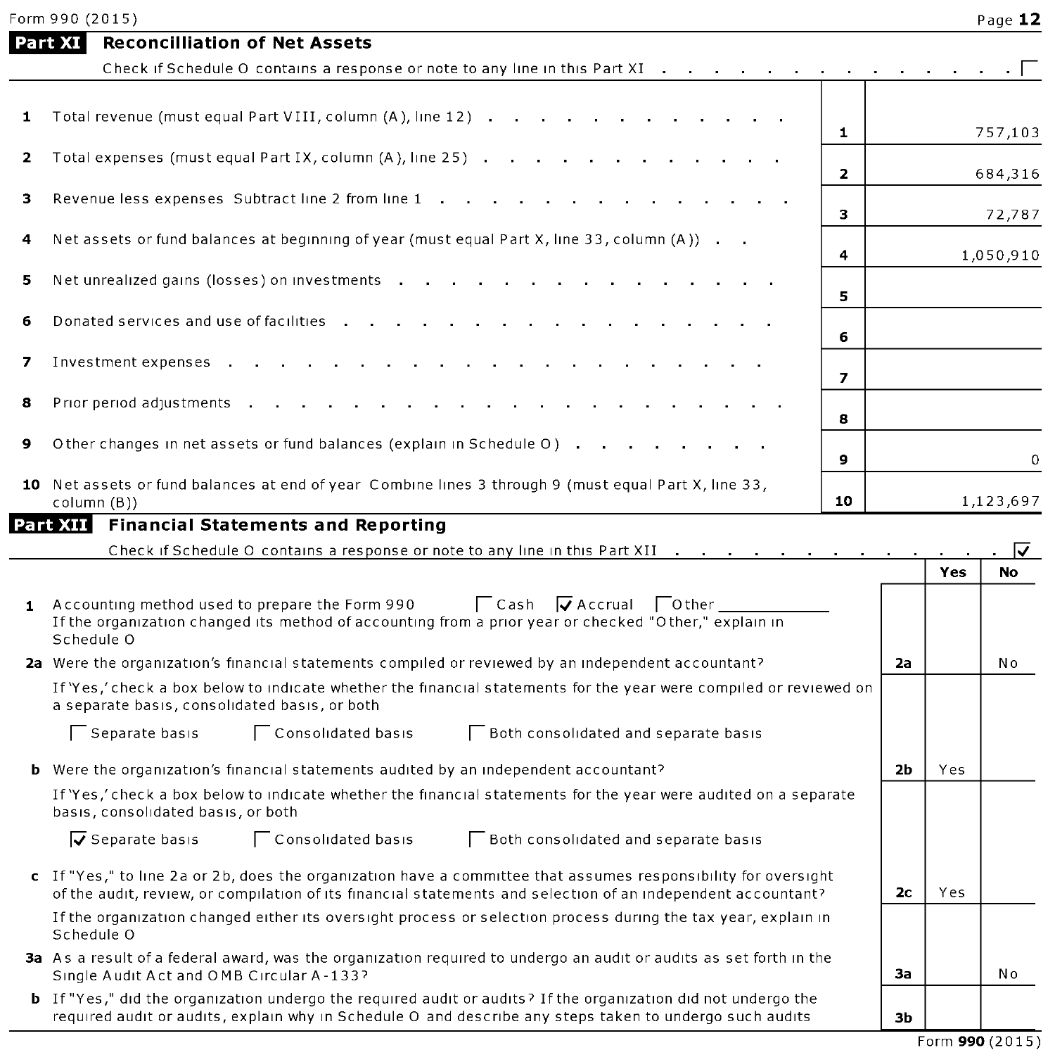|              | <b>Reconcilliation of Net Assets</b><br>Part XI                                                                                                                                                                                  |                         |                |            |           |
|--------------|----------------------------------------------------------------------------------------------------------------------------------------------------------------------------------------------------------------------------------|-------------------------|----------------|------------|-----------|
|              | Check if Schedule O contains a response or note to any line in this Part XI                                                                                                                                                      |                         |                |            |           |
|              |                                                                                                                                                                                                                                  |                         |                |            |           |
| 1            | Total revenue (must equal Part VIII, column (A), line 12)                                                                                                                                                                        | $\mathbf{1}$            |                |            | 757,103   |
| 2            | Total expenses (must equal Part IX, column (A), line 25)                                                                                                                                                                         | $\overline{\mathbf{z}}$ |                |            | 684,316   |
| з            | Revenue less expenses Subtract line 2 from line 1                                                                                                                                                                                | 3                       |                |            | 72,787    |
| 4            | Net assets or fund balances at beginning of year (must equal Part X, line 33, column (A))                                                                                                                                        |                         |                |            |           |
| 5            |                                                                                                                                                                                                                                  | 4                       |                |            | 1,050,910 |
|              | Net unrealized gains (losses) on investments                                                                                                                                                                                     | 5                       |                |            |           |
| 6            | Donated services and use of facilities                                                                                                                                                                                           | 6                       |                |            |           |
| 7            | Investment expenses                                                                                                                                                                                                              |                         |                |            |           |
| 8            |                                                                                                                                                                                                                                  | $\overline{z}$          |                |            |           |
|              | Prior period adjustments .                                                                                                                                                                                                       | 8                       |                |            |           |
| 9            | Other changes in net assets or fund balances (explain in Schedule O)                                                                                                                                                             | $\mathbf{9}$            |                |            | 0         |
|              | 10 Net assets or fund balances at end of year Combine lines 3 through 9 (must equal Part X, line 33,<br>column (B))                                                                                                              | 10                      |                |            | 1,123,697 |
|              | Part XII Financial Statements and Reporting                                                                                                                                                                                      |                         |                |            |           |
|              | Check if Schedule O contains a response or note to any line in this Part XII                                                                                                                                                     |                         |                |            | M         |
|              |                                                                                                                                                                                                                                  |                         |                | Yes        | <b>No</b> |
| $\mathbf{1}$ | $\Box$ Cash $\Box$ Accrual $\Box$ Other<br>Accounting method used to prepare the Form 990<br>If the organization changed its method of accounting from a prior year or checked "Other," explain in<br>Schedule O                 |                         |                |            |           |
|              | 2a Were the organization's financial statements compiled or reviewed by an independent accountant?                                                                                                                               |                         | 2a             |            | No        |
|              | If 'Yes,' check a box below to indicate whether the financial statements for the year were compiled or reviewed on<br>a separate basis, consolidated basis, or both                                                              |                         |                |            |           |
|              | Consolidated basis<br>Separate basis<br><b>Both consolidated and separate basis</b>                                                                                                                                              |                         |                |            |           |
|              | <b>b</b> Were the organization's financial statements audited by an independent accountant?                                                                                                                                      |                         | 2 <sub>b</sub> | <b>Yes</b> |           |
|              | If 'Yes,' check a box below to indicate whether the financial statements for the year were audited on a separate<br>basis, consolidated basis, or both                                                                           |                         |                |            |           |
|              | $\overline{V}$ Separate basis<br>Consolidated basis<br>Both consolidated and separate basis                                                                                                                                      |                         |                |            |           |
|              | c If "Yes," to line 2a or 2b, does the organization have a committee that assumes responsibility for oversight<br>of the audit, review, or compilation of its financial statements and selection of an independent accountant?   |                         | 2 <sub>c</sub> | Yes        |           |
|              | If the organization changed either its oversight process or selection process during the tax year, explain in<br>Schedule O                                                                                                      |                         |                |            |           |
|              | 3a As a result of a federal award, was the organization required to undergo an audit or audits as set forth in the<br>Single Audit Act and OMB Circular A-133?                                                                   |                         | За             |            | No        |
|              | <b>b</b> If "Yes," did the organization undergo the required audit or audits? If the organization did not undergo the<br>required audit or audits, explain why in Schedule O and describe any steps taken to undergo such audits |                         | 3b             |            |           |

Form 990 (2015)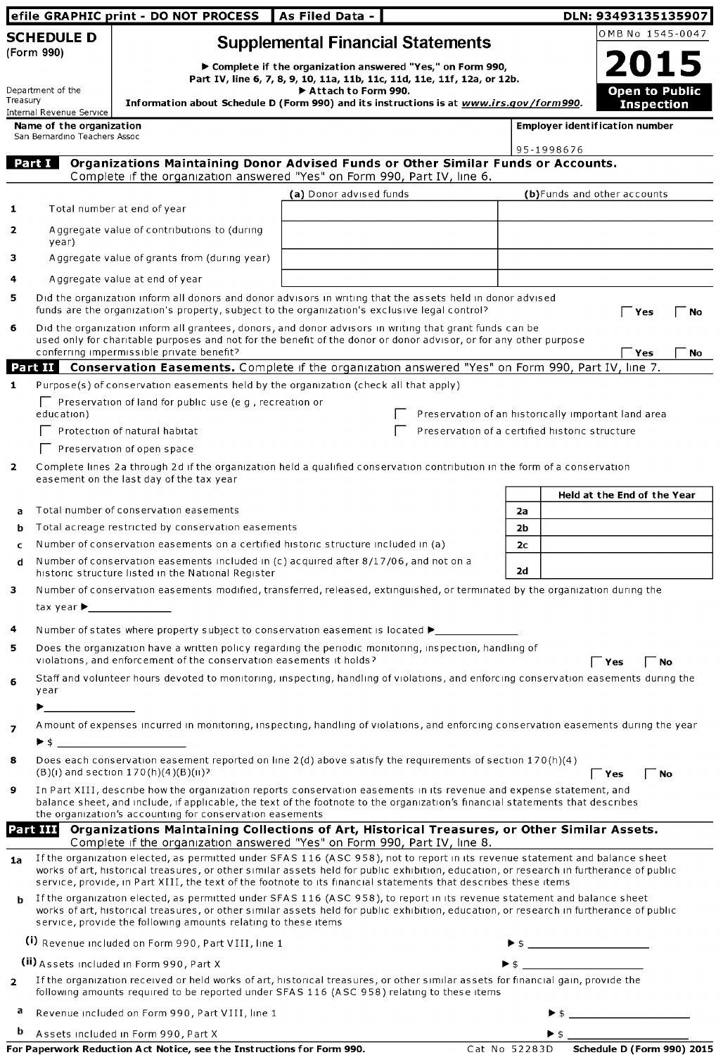|                   |                                                                           | efile GRAPHIC print - DO NOT PROCESS                                                                                                                                                                                                                                                                                                  | As Filed Data -         |                                                                                                                                         |                      |                          | DLN: 93493135135907                        |
|-------------------|---------------------------------------------------------------------------|---------------------------------------------------------------------------------------------------------------------------------------------------------------------------------------------------------------------------------------------------------------------------------------------------------------------------------------|-------------------------|-----------------------------------------------------------------------------------------------------------------------------------------|----------------------|--------------------------|--------------------------------------------|
|                   | <b>SCHEDULE D</b><br>(Form 990)                                           |                                                                                                                                                                                                                                                                                                                                       |                         | <b>Supplemental Financial Statements</b>                                                                                                |                      |                          | OMB No 1545-0047                           |
| Department of the |                                                                           |                                                                                                                                                                                                                                                                                                                                       | Attach to Form 990.     | ▶ Complete if the organization answered "Yes," on Form 990,<br>Part IV, line 6, 7, 8, 9, 10, 11a, 11b, 11c, 11d, 11e, 11f, 12a, or 12b. |                      |                          | <b>2015</b>                                |
| Treasury          |                                                                           | Information about Schedule D (Form 990) and its instructions is at www.irs.gov/form990.                                                                                                                                                                                                                                               |                         |                                                                                                                                         |                      |                          | <b>Open to Public</b><br><b>Inspection</b> |
|                   | Internal Revenue Service<br>Name of the organization                      |                                                                                                                                                                                                                                                                                                                                       |                         |                                                                                                                                         |                      |                          | <b>Employer identification number</b>      |
|                   | San Bernardino Teachers Assoc                                             |                                                                                                                                                                                                                                                                                                                                       |                         |                                                                                                                                         |                      | 95-1998676               |                                            |
|                   | Part I                                                                    | Organizations Maintaining Donor Advised Funds or Other Similar Funds or Accounts.<br>Complete if the organization answered "Yes" on Form 990, Part IV, line 6.                                                                                                                                                                        |                         |                                                                                                                                         |                      |                          |                                            |
|                   |                                                                           |                                                                                                                                                                                                                                                                                                                                       | (a) Donor advised funds |                                                                                                                                         |                      |                          | (b) Funds and other accounts               |
| 1                 |                                                                           | Total number at end of year                                                                                                                                                                                                                                                                                                           |                         |                                                                                                                                         |                      |                          |                                            |
| 2                 | year)                                                                     | Aggregate value of contributions to (during                                                                                                                                                                                                                                                                                           |                         |                                                                                                                                         |                      |                          |                                            |
| з                 |                                                                           | Aggregate value of grants from (during year)                                                                                                                                                                                                                                                                                          |                         |                                                                                                                                         |                      |                          |                                            |
| 4                 |                                                                           | A ggregate value at end of year                                                                                                                                                                                                                                                                                                       |                         |                                                                                                                                         |                      |                          |                                            |
| 5                 |                                                                           | Did the organization inform all donors and donor advisors in writing that the assets held in donor advised<br>funds are the organization's property, subject to the organization's exclusive legal control?                                                                                                                           |                         |                                                                                                                                         |                      |                          | $\Gamma$ Yes<br>No                         |
| 6                 |                                                                           | Did the organization inform all grantees, donors, and donor advisors in writing that grant funds can be<br>used only for charitable purposes and not for the benefit of the donor or donor advisor, or for any other purpose<br>conferring impermissible private benefit?                                                             |                         |                                                                                                                                         |                      |                          | Yes<br><b>No</b>                           |
|                   |                                                                           | Part II Conservation Easements. Complete if the organization answered "Yes" on Form 990, Part IV, line 7.                                                                                                                                                                                                                             |                         |                                                                                                                                         |                      |                          |                                            |
| $\mathbf{1}$      |                                                                           | Purpose(s) of conservation easements held by the organization (check all that apply)                                                                                                                                                                                                                                                  |                         |                                                                                                                                         |                      |                          |                                            |
|                   | education)                                                                | $\Box$ Preservation of land for public use (e.g., recreation or                                                                                                                                                                                                                                                                       |                         | Preservation of an historically important land area                                                                                     |                      |                          |                                            |
|                   |                                                                           | Protection of natural habitat                                                                                                                                                                                                                                                                                                         |                         | Preservation of a certified historic structure                                                                                          |                      |                          |                                            |
|                   |                                                                           | Preservation of open space                                                                                                                                                                                                                                                                                                            |                         |                                                                                                                                         |                      |                          |                                            |
| $\overline{2}$    |                                                                           | Complete lines 2a through 2d if the organization held a qualified conservation contribution in the form of a conservation<br>easement on the last day of the tax year                                                                                                                                                                 |                         |                                                                                                                                         |                      |                          |                                            |
|                   |                                                                           |                                                                                                                                                                                                                                                                                                                                       |                         |                                                                                                                                         |                      |                          | Held at the End of the Year                |
| a<br>b            |                                                                           | Total number of conservation easements<br>Total acreage restricted by conservation easements                                                                                                                                                                                                                                          |                         |                                                                                                                                         | 2a<br>2 <sub>b</sub> |                          |                                            |
| c                 |                                                                           | Number of conservation easements on a certified historic structure included in (a)                                                                                                                                                                                                                                                    |                         |                                                                                                                                         | 2c                   |                          |                                            |
| d                 |                                                                           | Number of conservation easements included in (c) acquired after 8/17/06, and not on a<br>historic structure listed in the National Register                                                                                                                                                                                           |                         |                                                                                                                                         | 2d                   |                          |                                            |
| з                 | tax year ▶                                                                | Number of conservation easements modified, transferred, released, extinguished, or terminated by the organization during the                                                                                                                                                                                                          |                         |                                                                                                                                         |                      |                          |                                            |
| 4                 |                                                                           | Number of states where property subject to conservation easement is located $\blacktriangleright$                                                                                                                                                                                                                                     |                         |                                                                                                                                         |                      |                          |                                            |
| 5                 |                                                                           | Does the organization have a written policy regarding the periodic monitoring, inspection, handling of<br>violations, and enforcement of the conservation easements it holds?                                                                                                                                                         |                         |                                                                                                                                         |                      |                          | ັ Yes<br>้ No                              |
| 6                 | year                                                                      | Staff and volunteer hours devoted to monitoring, inspecting, handling of violations, and enforcing conservation easements during the                                                                                                                                                                                                  |                         |                                                                                                                                         |                      |                          |                                            |
|                   | $\blacktriangleright$ and $\blacktriangleright$ and $\blacktriangleright$ |                                                                                                                                                                                                                                                                                                                                       |                         |                                                                                                                                         |                      |                          |                                            |
| 7                 |                                                                           | Amount of expenses incurred in monitoring, inspecting, handling of violations, and enforcing conservation easements during the year<br>$\triangleright$ \$                                                                                                                                                                            |                         |                                                                                                                                         |                      |                          |                                            |
| 8                 |                                                                           | Does each conservation easement reported on line 2(d) above satisfy the requirements of section 170(h)(4)<br>$(B)(1)$ and section $170(h)(4)(B)(1)$ ?                                                                                                                                                                                 |                         |                                                                                                                                         |                      |                          | Yes<br>No                                  |
| 9                 |                                                                           | In Part XIII, describe how the organization reports conservation easements in its revenue and expense statement, and<br>balance sheet, and include, if applicable, the text of the footnote to the organization's financial statements that describes<br>the organization's accounting for conservation easements                     |                         |                                                                                                                                         |                      |                          |                                            |
|                   |                                                                           | Part III Organizations Maintaining Collections of Art, Historical Treasures, or Other Similar Assets.                                                                                                                                                                                                                                 |                         |                                                                                                                                         |                      |                          |                                            |
|                   |                                                                           | Complete if the organization answered "Yes" on Form 990, Part IV, line 8.<br>If the organization elected, as permitted under SFAS 116 (ASC 958), not to report in its revenue statement and balance sheet                                                                                                                             |                         |                                                                                                                                         |                      |                          |                                            |
| 1a                |                                                                           | works of art, historical treasures, or other similar assets held for public exhibition, education, or research in furtherance of public<br>service, provide, in Part XIII, the text of the footnote to its financial statements that describes these items                                                                            |                         |                                                                                                                                         |                      |                          |                                            |
| b                 |                                                                           | If the organization elected, as permitted under SFAS 116 (ASC 958), to report in its revenue statement and balance sheet<br>works of art, historical treasures, or other similar assets held for public exhibition, education, or research in furtherance of public<br>service, provide the following amounts relating to these items |                         |                                                                                                                                         |                      |                          |                                            |
|                   |                                                                           | (i) Revenue included on Form 990, Part VIII, line 1                                                                                                                                                                                                                                                                                   |                         |                                                                                                                                         |                      |                          |                                            |
|                   |                                                                           | (ii) Assets included in Form 990, Part X                                                                                                                                                                                                                                                                                              |                         |                                                                                                                                         |                      |                          |                                            |
| $\overline{2}$    |                                                                           | If the organization received or held works of art, historical treasures, or other similar assets for financial gain, provide the<br>following amounts required to be reported under SFAS 116 (ASC 958) relating to these items                                                                                                        |                         |                                                                                                                                         |                      |                          |                                            |
| а                 |                                                                           | Revenue included on Form 990, Part VIII, line 1                                                                                                                                                                                                                                                                                       |                         |                                                                                                                                         |                      |                          |                                            |
| b                 |                                                                           | Assets included in Form 990, Part X                                                                                                                                                                                                                                                                                                   |                         |                                                                                                                                         |                      | $\blacktriangleright$ \$ |                                            |
|                   |                                                                           | For Paperwork Reduction Act Notice, see the Instructions for Form 990.                                                                                                                                                                                                                                                                |                         |                                                                                                                                         | Cat No 52283D        |                          | Schedule D (Form 990) 2015                 |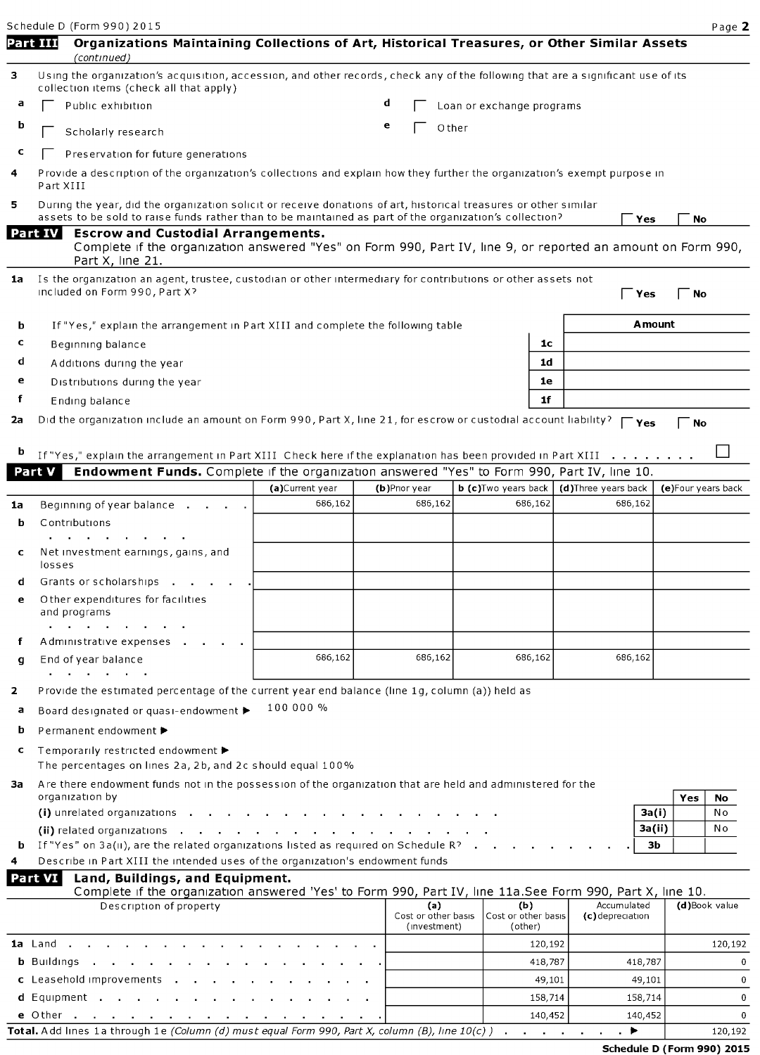Schedule D (Form 990) 2015 **Page 2** Part III Organizations Maintaining Collections of Art, Historical Treasures, or Other Similar Assets (continued) 3 Using the organization's acquisition, accession, and other records, check any of the following that are a significant use of its collection items (check all that apply) Public exhibition  $\mathbf{d}$   $\Box$  Loan or exchange programs  $\mathbf{b}$   $\Box$  Scholarly research e  $\Box$  Other  $c \fbox{P}$  Preservation for future generations Provide a description of the organization's collections and explain how they further the organization's exempt purpose in Part XIII 5 During the year, did the organization solicit or receive donations of art, historical treasures or other similar assets to be sold to raise funds rather than to be maintained as part of the organization's collection?  $\Gamma$  Yes  $\Gamma$  No Escrow and Custodial Arrangements. Part IV Complete if the organization answered "Yes" on Form 990, Part IV, line 9, or reported an amount on Form 990, Part X, line 21. 1a Is the organization an agent, trustee, custodian or other intermediary for contributions or other assets not included on Form 990, Part X? Equation of the set of the set of the set of the set of the  $\Gamma$   $\gamma$ es  $\Gamma$  No. **b** If "Yes," explain the arrangement in Part XIII and complete the following table **Amount**  $\text{c}$  Beginning balance  $\vert$  10 d Additions during the year later and the set of the set of the set of the set of the set of the set of the set of the set of the set of the set of the set of the set of the set of the set of the set of the set of the set e Distributions during the year letter and the set of the set of the set of the set of the set of the set of the set of the set of the set of the set of the set of the set of the set of the set of the set of the set of the f Ending balance 11 and 16 and 16 and 16 and 16 and 16 and 16 and 16 and 16 and 16 and 16 and 16 and 16 and 16 and 16 and 16 and 16 and 16 and 16 and 16 and 16 and 16 and 16 and 16 and 16 and 16 and 16 and 16 and 16 and 16 2a Did the organization include an amount on Form 990, Part X, line 21, for escrow or custodial account liability?  $\Gamma_{\text{Yes}}$   $\Gamma_{\text{No}}$ **b** If "Yes," explain the arrangement in Part XIII Check here if the explanation has been provided in Part XIII . . Part V Endowment Funds. Complete if the organization answered "Yes" to Form 990, Part IV, line 10. (a)Current year (b)Prior year b (c)Two years back (d)Three years back (e)Four years back **1a** Beginning of year balance equally  $\begin{array}{ccc} 686,162 & 686,162 \\ 686,162 & 686,162 \end{array}$ b Contributions  $\sim$  $\sim$  $\sim$  $\sim$ Net investment earnings, gains, and losses d Grants or scholarships . . Other expenditures for facilities and programs  $\mathbf{r} = \mathbf{r} \times \mathbf{r}$  , where  $\mathbf{r}$ Administrative expenses **g** End of year balance **686,162** 686,162 686,162 686,162 686,162 686,162  $\mathbf{r}$  and  $\mathbf{r}$  are the set of  $\mathbf{r}$ 2 Provide the estimated percentage of the current year end balance (line 1g, column (a)) held as 100 000 % <sup>a</sup> Board designated or quasi-endowment ► <sup>b</sup> Permanent endowment ► <sup>c</sup> Temporarily restricted endowment ► The percentages on lines 2a, 2b, and 2c should equal 100% 3a Are there endowment funds not in the possession of the organization that are held and administered for the organization by  $\begin{array}{|c|c|c|c|c|}\hline \textbf{Yes} & \textbf{No} \\\hline \end{array}$ (i) unrelated organizations . . . . . . . . . . . . . . . . 3a(i) No (ii) related organizations . . . . . . . . . . . . . . . 3a(ii) No If "Yes" on 3a(ii), are the related organizations listed as required on Schedule R?  $\cdots$   $\cdots$   $\cdots$   $\cdots$ Describe in Part XIII the intended uses of the organization's endowment funds Part VI Land, Buildings, and Equipment. Complete if the organization answered 'Yes' to Form 990, Part IV, line 11a.See Form 990, Part X, line 10. Description of property (a) (b) Accumulated (d)Book value Cost or other basis Cost or other basis (c)depreciation (investment) (other) la Land . . . . . . . . . . . . . . . . 120,192 120,192 b Buildings . . . . . . . . . . . . . 418,787 418,787 0 **c** Leasehold improvements . . . . . . . . . . . . . . . . . . 49,101 49,101 49,101 49,101 0

d Equipment . 158,714 158,714 <sup>0</sup>

|                                                                                                               | 140.452 |         |
|---------------------------------------------------------------------------------------------------------------|---------|---------|
| <b>Total.</b> Add lines 1a through 1e <i>(Column (d) must equal Form 990, Part X, column (B), line 10(c))</i> |         | 120.192 |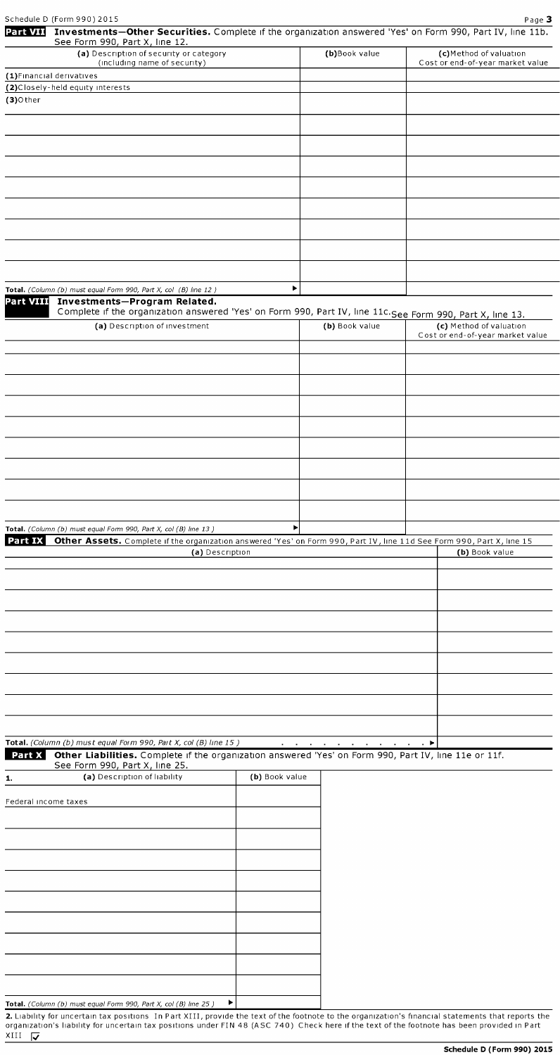|                      | Schedule D (Form 990) 2015                                                                                                                                                       |                |                | Page 3                           |
|----------------------|----------------------------------------------------------------------------------------------------------------------------------------------------------------------------------|----------------|----------------|----------------------------------|
| <b>Part VII</b>      | Investments-Other Securities. Complete if the organization answered 'Yes' on Form 990, Part IV, line 11b.                                                                        |                |                |                                  |
|                      | See Form 990, Part X, line 12.<br>(a) Description of security or category                                                                                                        |                | (b)Book value  | (c)Method of valuation           |
|                      | (including name of security)                                                                                                                                                     |                |                | Cost or end-of-year market value |
|                      | (1) Financial derivatives                                                                                                                                                        |                |                |                                  |
|                      | (2) Closely-held equity interests                                                                                                                                                |                |                |                                  |
| $(3)$ Other          |                                                                                                                                                                                  |                |                |                                  |
|                      |                                                                                                                                                                                  |                |                |                                  |
|                      |                                                                                                                                                                                  |                |                |                                  |
|                      |                                                                                                                                                                                  |                |                |                                  |
|                      |                                                                                                                                                                                  |                |                |                                  |
|                      |                                                                                                                                                                                  |                |                |                                  |
|                      |                                                                                                                                                                                  |                |                |                                  |
|                      |                                                                                                                                                                                  |                |                |                                  |
|                      |                                                                                                                                                                                  |                |                |                                  |
|                      |                                                                                                                                                                                  |                |                |                                  |
|                      |                                                                                                                                                                                  |                |                |                                  |
|                      |                                                                                                                                                                                  |                |                |                                  |
|                      |                                                                                                                                                                                  |                |                |                                  |
|                      |                                                                                                                                                                                  | ٠              |                |                                  |
|                      | Total. (Column (b) must equal Form 990, Part X, col (B) line 12)<br>Part VIII Investments-Program Related.                                                                       |                |                |                                  |
|                      | Complete if the organization answered 'Yes' on Form 990, Part IV, line 11c. See Form 990, Part X, line 13.                                                                       |                |                |                                  |
|                      | (a) Description of investment                                                                                                                                                    |                | (b) Book value | (c) Method of valuation          |
|                      |                                                                                                                                                                                  |                |                | Cost or end-of-year market value |
|                      |                                                                                                                                                                                  |                |                |                                  |
|                      |                                                                                                                                                                                  |                |                |                                  |
|                      |                                                                                                                                                                                  |                |                |                                  |
|                      |                                                                                                                                                                                  |                |                |                                  |
|                      |                                                                                                                                                                                  |                |                |                                  |
|                      |                                                                                                                                                                                  |                |                |                                  |
|                      |                                                                                                                                                                                  |                |                |                                  |
|                      |                                                                                                                                                                                  |                |                |                                  |
|                      |                                                                                                                                                                                  |                |                |                                  |
|                      |                                                                                                                                                                                  |                |                |                                  |
|                      |                                                                                                                                                                                  |                |                |                                  |
|                      |                                                                                                                                                                                  |                |                |                                  |
|                      |                                                                                                                                                                                  |                |                |                                  |
|                      | Total. (Column (b) must equal Form 990, Part X, col (B) line 13)                                                                                                                 | Þ              |                |                                  |
| Part IX              | Other Assets. Complete if the organization answered 'Yes' on Form 990, Part IV, line 11d See Form 990, Part X, line 15                                                           |                |                |                                  |
|                      | (a) Description                                                                                                                                                                  |                |                | (b) Book value                   |
|                      |                                                                                                                                                                                  |                |                |                                  |
|                      |                                                                                                                                                                                  |                |                |                                  |
|                      |                                                                                                                                                                                  |                |                |                                  |
|                      |                                                                                                                                                                                  |                |                |                                  |
|                      |                                                                                                                                                                                  |                |                |                                  |
|                      |                                                                                                                                                                                  |                |                |                                  |
|                      |                                                                                                                                                                                  |                |                |                                  |
|                      |                                                                                                                                                                                  |                |                |                                  |
|                      |                                                                                                                                                                                  |                |                |                                  |
|                      |                                                                                                                                                                                  |                |                |                                  |
|                      |                                                                                                                                                                                  |                |                |                                  |
|                      |                                                                                                                                                                                  |                |                |                                  |
|                      |                                                                                                                                                                                  |                |                |                                  |
|                      | Total. (Column (b) must equal Form 990, Part X, col (B) line 15)<br>Part X Other Liabilities. Complete if the organization answered 'Yes' on Form 990, Part IV, line 11e or 11f. |                |                | $\cdot$ $\cdot$                  |
|                      | See Form 990, Part X, line 25.                                                                                                                                                   |                |                |                                  |
| 1.                   | (a) Description of liability                                                                                                                                                     | (b) Book value |                |                                  |
|                      |                                                                                                                                                                                  |                |                |                                  |
| Federal income taxes |                                                                                                                                                                                  |                |                |                                  |
|                      |                                                                                                                                                                                  |                |                |                                  |
|                      |                                                                                                                                                                                  |                |                |                                  |
|                      |                                                                                                                                                                                  |                |                |                                  |
|                      |                                                                                                                                                                                  |                |                |                                  |
|                      |                                                                                                                                                                                  |                |                |                                  |
|                      |                                                                                                                                                                                  |                |                |                                  |
|                      |                                                                                                                                                                                  |                |                |                                  |
|                      |                                                                                                                                                                                  |                |                |                                  |
|                      |                                                                                                                                                                                  |                |                |                                  |
|                      |                                                                                                                                                                                  |                |                |                                  |
|                      |                                                                                                                                                                                  |                |                |                                  |
|                      |                                                                                                                                                                                  |                |                |                                  |
|                      |                                                                                                                                                                                  |                |                |                                  |
|                      |                                                                                                                                                                                  |                |                |                                  |
|                      | Total. (Column (b) must equal Form 990, Part X, col (B) line 25)                                                                                                                 | ▶              |                |                                  |

**2.** Liability for uncertain tax positions  $\:$  In Part XIII, provide the text of the footnote to the organization's financial statements that reports the organization's liability for uncertain tax positions under FIN 48 (ASC 740). Check here if the text of the footnote has been provided in Part  $\frac{1}{2}$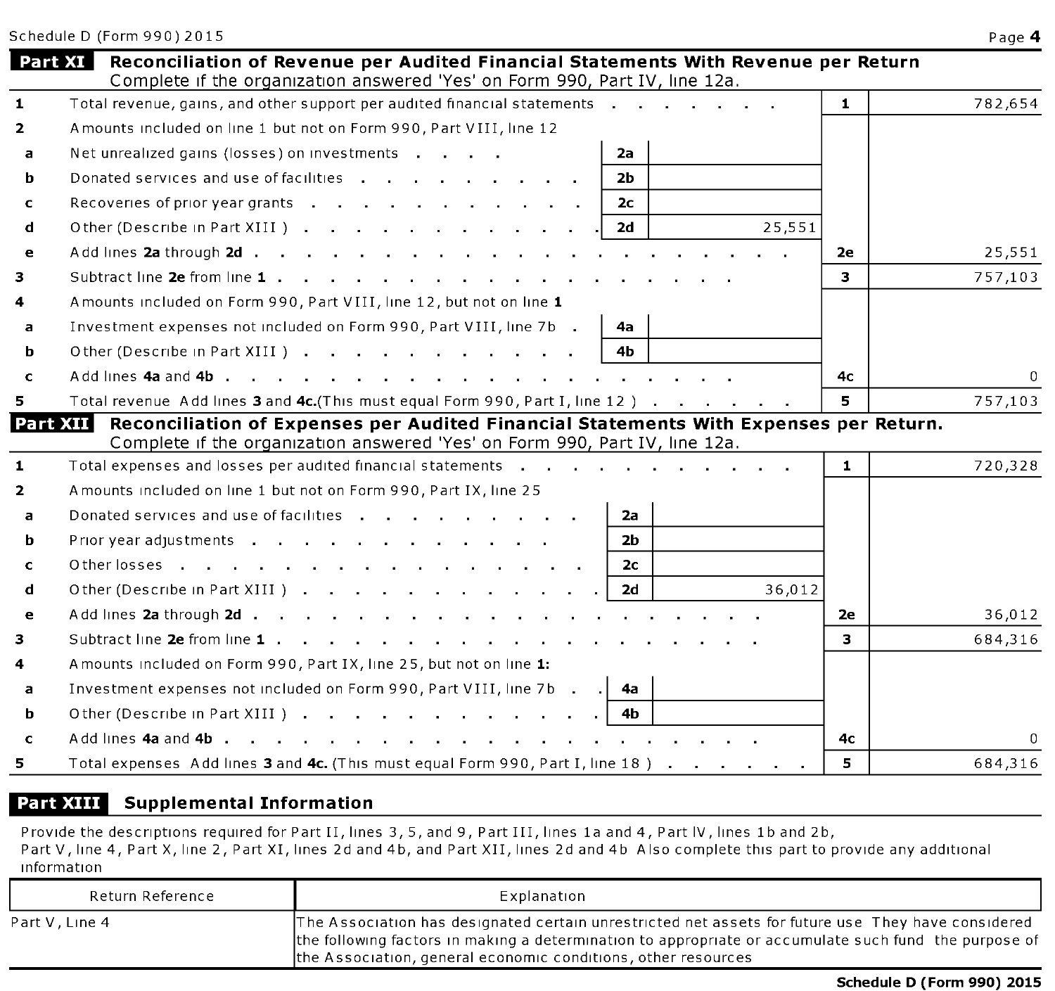|                | Schedule D (Form 990) 2015                                                                                                                                           |              | Page 4   |
|----------------|----------------------------------------------------------------------------------------------------------------------------------------------------------------------|--------------|----------|
| Part XI        | Reconciliation of Revenue per Audited Financial Statements With Revenue per Return<br>Complete if the organization answered 'Yes' on Form 990, Part IV, line 12a.    |              |          |
| $\mathbf{1}$   | Total revenue, gains, and other support per audited financial statements                                                                                             | $\mathbf{1}$ | 782,654  |
| $\overline{2}$ | Amounts included on line 1 but not on Form 990, Part VIII, line 12                                                                                                   |              |          |
| a              | Net unrealized gains (losses) on investments<br>2a                                                                                                                   |              |          |
| b              | Donated services and use of facilities<br>2b                                                                                                                         |              |          |
| c              | Recoveries of prior year grants<br>2 <sub>c</sub>                                                                                                                    |              |          |
| d              | 25,551<br>Other (Describe in Part XIII )<br>2d                                                                                                                       |              |          |
| e              | Add lines 2a through 2d                                                                                                                                              | 2e           | 25,551   |
| 3              |                                                                                                                                                                      | 3            | 757,103  |
| 4              | Amounts included on Form 990, Part VIII, line 12, but not on line 1                                                                                                  |              |          |
| a              | Investment expenses not included on Form 990, Part VIII, line 7b.<br>4а                                                                                              |              |          |
| b              | Other (Describe in Part XIII )<br>4b                                                                                                                                 |              |          |
| C              |                                                                                                                                                                      | 4с           | $\Omega$ |
| 5.             | Total revenue Add lines 3 and 4c. (This must equal Form 990, Part I, line 12)                                                                                        | 5            | 757,103  |
| Part XII       | Reconciliation of Expenses per Audited Financial Statements With Expenses per Return.<br>Complete if the organization answered 'Yes' on Form 990, Part IV, line 12a. |              |          |
| $\mathbf{1}$   | Total expenses and losses per audited financial statements                                                                                                           | $\mathbf{1}$ | 720,328  |
| $\overline{2}$ | Amounts included on line 1 but not on Form 990, Part IX, line 25                                                                                                     |              |          |
| a              | Donated services and use of facilities<br>2а                                                                                                                         |              |          |
| b              | 2 <sub>b</sub><br>Prior year adjustments                                                                                                                             |              |          |
| c              | Other losses<br>2с                                                                                                                                                   |              |          |
| d              | 2d<br>Other (Describe in Part XIII).<br>36,012                                                                                                                       |              |          |
| $\bullet$      | Add lines 2a through 2d                                                                                                                                              | 2e           | 36,012   |
| з              | Subtract line 2e from line 1                                                                                                                                         | 3            | 684,316  |
| 4              | A mounts included on Form 990, Part IX, line 25, but not on line 1:                                                                                                  |              |          |
| a              | Investment expenses not included on Form 990, Part VIII, line 7b .<br>4a                                                                                             |              |          |
| b              | Other (Describe in Part XIII)<br>4b                                                                                                                                  |              |          |
| c              | Add lines 4a and 4b, ., ., ., ., ., ., ., .                                                                                                                          | 4с           | $\Omega$ |
| 5.             | Total expenses Add lines 3 and 4c. (This must equal Form 990, Part I, line 18)                                                                                       | 5            | 684,316  |

### Part XIII Supplemental Information

Provide the descriptions required for Part II, lines 3, 5, and 9, Part III, lines la and 4, Part IV, lines lb and 2b, Part V, line 4, Part X, line 2, Part XI, lines 2d and 4b, and Part XII, lines 2d and 4b Also complete this part to provide any additional information

| Return Reference | Explanation                                                                                                                                                                                                                                                                  |
|------------------|------------------------------------------------------------------------------------------------------------------------------------------------------------------------------------------------------------------------------------------------------------------------------|
| Part V , Line 4  | The Association has designated certain unrestricted net assets for future use They have considered<br>the following factors in making a determination to appropriate or accumulate such fund the purpose of<br>the Association, general economic conditions, other resources |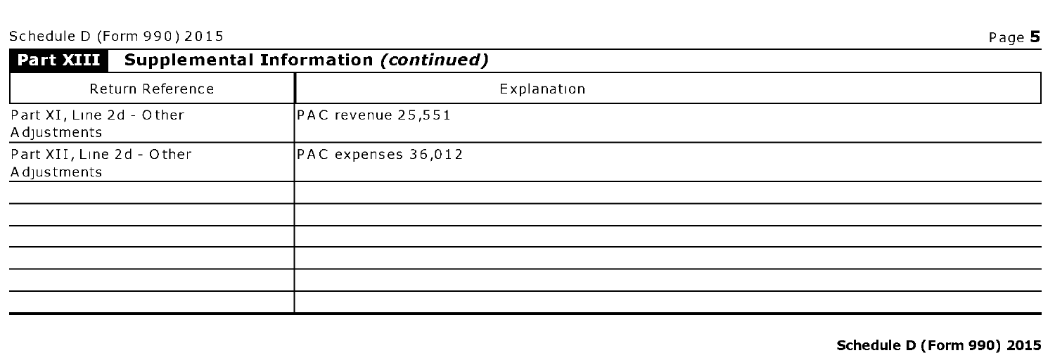| Part XIII<br><b>Supplemental Information (continued)</b> |                     |  |  |  |  |
|----------------------------------------------------------|---------------------|--|--|--|--|
| Return Reference                                         | Explanation         |  |  |  |  |
| Part XI, Line 2d - Other<br>A djustments                 | PAC revenue 25,551  |  |  |  |  |
| Part XII, Line 2d - Other<br>A djustments                | PAC expenses 36,012 |  |  |  |  |
|                                                          |                     |  |  |  |  |
|                                                          |                     |  |  |  |  |
|                                                          |                     |  |  |  |  |
|                                                          |                     |  |  |  |  |
|                                                          |                     |  |  |  |  |
|                                                          |                     |  |  |  |  |

### Schedule D (Form 990) 2015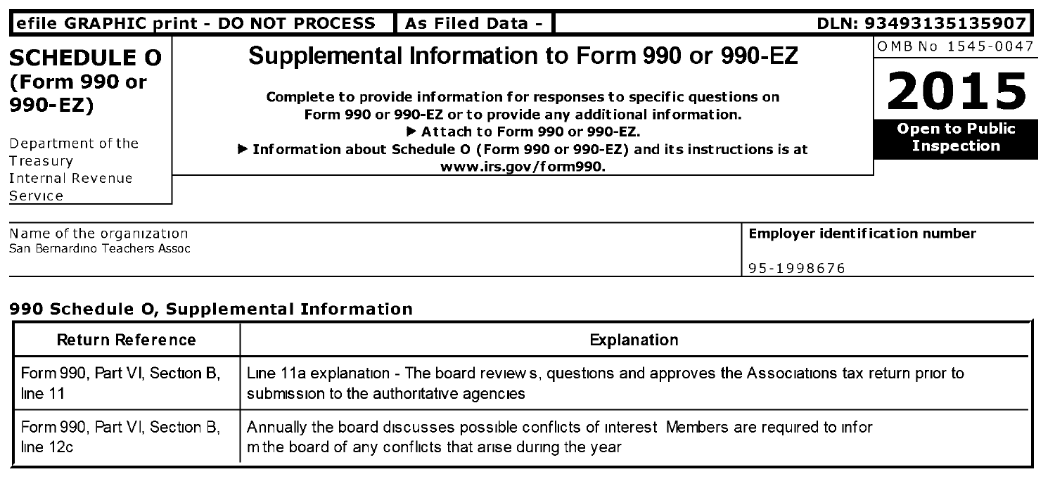| As Filed Data - I<br>DLN: 93493135135907<br>efile GRAPHIC print - DO NOT PROCESS |  |                               |                                                                                                                                        |                                            |  |
|----------------------------------------------------------------------------------|--|-------------------------------|----------------------------------------------------------------------------------------------------------------------------------------|--------------------------------------------|--|
| <b>SCHEDULE O</b>                                                                |  |                               | Supplemental Information to Form 990 or 990-EZ                                                                                         | OMB No 1545-0047                           |  |
| (Form 990 or<br>$990-EZ)$                                                        |  |                               | Complete to provide information for responses to specific questions on<br>Form 990 or 990-EZ or to provide any additional information. | 2015                                       |  |
| Department of the                                                                |  | Attach to Form 990 or 990-EZ. | ▶ Information about Schedule O (Form 990 or 990-EZ) and its instructions is at                                                         | <b>Open to Public</b><br><b>Inspection</b> |  |
| Treasury<br><b>Internal Revenue</b><br>Service                                   |  | www.irs.gov/form990.          |                                                                                                                                        |                                            |  |
| Nome of the examination                                                          |  |                               |                                                                                                                                        | Employer identification pumber             |  |

| Name of the organization      | <b>Emplover identification number</b> |
|-------------------------------|---------------------------------------|
| San Bernardino Teachers Assoc |                                       |
|                               | 95-1998676                            |

### 990 Schedule 0, Supplemental Information

| Return Reference              | Explanation                                                                                           |
|-------------------------------|-------------------------------------------------------------------------------------------------------|
| Form 990, Part VI, Section B, | Line 11a explanation - The board reviews, questions and approves the Associations tax return prior to |
| line 11                       | submission to the authoritative agencies                                                              |
| Form 990, Part VI, Section B, | Annually the board discusses possible conflicts of interest Members are required to infor             |
| line 12c                      | m the board of any conflicts that arise during the year                                               |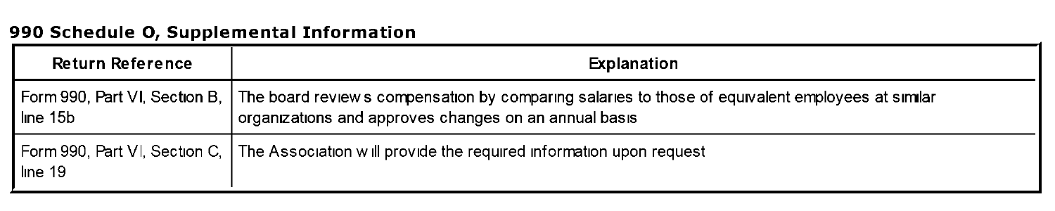### 990 Schedule 0, Supplemental Information

| <b>Return Reference</b> | Explanation                                                                                                                                                                              |
|-------------------------|------------------------------------------------------------------------------------------------------------------------------------------------------------------------------------------|
| line 15b                | Form 990, Part VI, Section B, The board review s compensation by comparing salaries to those of equivalent employees at similar<br>organizations and approves changes on an annual basis |
| line 19                 | Form 990, Part VI, Section C.   The Association will provide the required information upon request                                                                                       |

 $\sim$